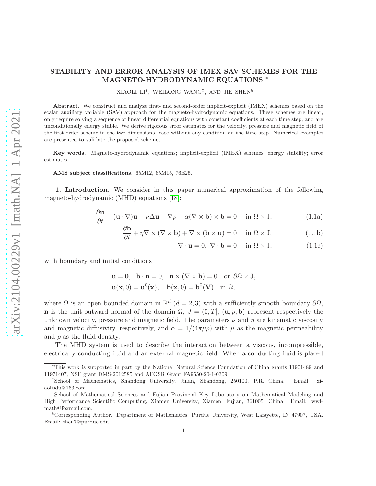## STABILITY AND ERROR ANALYSIS OF IMEX SAV SCHEMES FOR THE MAGNETO-HYDRODYNAMIC EQUATIONS \*

 $\rm XIAOLI$   $\rm LI^{\dagger},$   $\rm WEILONG$   $\rm WANG^{\ddagger},$   $\rm AND$   $\rm JIE$   $\rm SHEN^{\S}$ 

Abstract. We construct and analyze first- and second-order implicit-explicit (IMEX) schemes based on the scalar auxiliary variable (SAV) approach for the magneto-hydrodynamic equations. These schemes are linear, only require solving a sequence of linear differential equations with constant coefficients at each time step, and are unconditionally energy stable. We derive rigorous error estimates for the velocity, pressure and magnetic field of the first-order scheme in the two dimensional case without any condition on the time step. Numerical examples are presented to validate the proposed schemes.

Key words. Magneto-hydrodynamic equations; implicit-explicit (IMEX) schemes; energy stability; error estimates

AMS subject classifications. 65M12, 65M15, 76E25.

1. Introduction. We consider in this paper numerical approximation of the following magneto-hydrodynamic (MHD) equations [\[18\]](#page-26-0):

$$
\frac{\partial \mathbf{u}}{\partial t} + (\mathbf{u} \cdot \nabla) \mathbf{u} - \nu \Delta \mathbf{u} + \nabla p - \alpha (\nabla \times \mathbf{b}) \times \mathbf{b} = 0 \quad \text{in } \Omega \times \mathbf{J}, \tag{1.1a}
$$

$$
\frac{\partial \mathbf{b}}{\partial t} + \eta \nabla \times (\nabla \times \mathbf{b}) + \nabla \times (\mathbf{b} \times \mathbf{u}) = 0 \quad \text{in } \Omega \times \mathbf{J}, \tag{1.1b}
$$

<span id="page-0-2"></span><span id="page-0-1"></span><span id="page-0-0"></span>
$$
\nabla \cdot \mathbf{u} = 0, \ \nabla \cdot \mathbf{b} = 0 \quad \text{in } \Omega \times J,
$$
 (1.1c)

with boundary and initial conditions

$$
\mathbf{u} = \mathbf{0}, \quad \mathbf{b} \cdot \mathbf{n} = 0, \quad \mathbf{n} \times (\nabla \times \mathbf{b}) = 0 \quad \text{on } \partial \Omega \times J,
$$

$$
\mathbf{u}(\mathbf{x}, 0) = \mathbf{u}^0(\mathbf{x}), \quad \mathbf{b}(\mathbf{x}, 0) = \mathbf{b}^0(\mathbf{V}) \quad \text{in } \Omega,
$$

where  $\Omega$  is an open bounded domain in  $\mathbb{R}^d$  ( $d=2,3$ ) with a sufficiently smooth boundary  $\partial\Omega$ , n is the unit outward normal of the domain  $\Omega$ ,  $J = (0, T]$ ,  $(\mathbf{u}, p, \mathbf{b})$  represent respectively the unknown velocity, pressure and magnetic field. The parameters  $\nu$  and  $\eta$  are kinematic viscosity and magnetic diffusivity, respectively, and  $\alpha = 1/(4\pi\mu\rho)$  with  $\mu$  as the magnetic permeability and  $\rho$  as the fluid density.

The MHD system is used to describe the interaction between a viscous, incompressible, electrically conducting fluid and an external magnetic field. When a conducting fluid is placed

<sup>∗</sup>This work is supported in part by the National Natural Science Foundation of China grants 11901489 and 11971407, NSF grant DMS-2012585 and AFOSR Grant FA9550-20-1-0309.

<sup>†</sup>School of Mathematics, Shandong University, Jinan, Shandong, 250100, P.R. China. Email: xiaolisdu@163.com.

<sup>‡</sup>School of Mathematical Sciences and Fujian Provincial Key Laboratory on Mathematical Modeling and High Performance Scientific Computing, Xiamen University, Xiamen, Fujian, 361005, China. Email: wwlmath@foxmail.com.

<sup>§</sup>Corresponding Author. Department of Mathematics, Purdue University, West Lafayette, IN 47907, USA. Email: shen7@purdue.edu.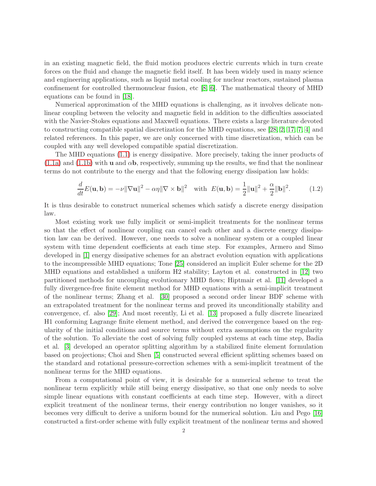in an existing magnetic field, the fluid motion produces electric currents which in turn create forces on the fluid and change the magnetic field itself. It has been widely used in many science and engineering applications, such as liquid metal cooling for nuclear reactors, sustained plasma confinement for controlled thermonuclear fusion, etc [\[8,](#page-26-1) [6\]](#page-26-2). The mathematical theory of MHD equations can be found in [\[18\]](#page-26-0).

Numerical approximation of the MHD equations is challenging, as it involves delicate nonlinear coupling between the velocity and magnetic field in addition to the difficulties associated with the Navier-Stokes equations and Maxwell equations. There exists a large literature devoted to constructing compatible spatial discretization for the MHD equations, see [\[28,](#page-27-0) [2,](#page-25-0) [17,](#page-26-3) [7,](#page-26-4) [4\]](#page-25-1) and related references. In this paper, we are only concerned with time discretization, which can be coupled with any well developed compatible spatial discretization.

The MHD equations [\(1.1\)](#page-0-0) is energy dissipative. More precisely, taking the inner products of  $(1.1a)$  and  $(1.1b)$  with **u** and  $\alpha$ **b**, respectively, summing up the results, we find that the nonlinear terms do not contribute to the energy and that the following energy dissipation law holds:

<span id="page-1-0"></span>
$$
\frac{d}{dt}E(\mathbf{u}, \mathbf{b}) = -\nu \|\nabla \mathbf{u}\|^2 - \alpha \eta \|\nabla \times \mathbf{b}\|^2 \quad \text{with} \quad E(\mathbf{u}, \mathbf{b}) = \frac{1}{2} \|\mathbf{u}\|^2 + \frac{\alpha}{2} \|\mathbf{b}\|^2. \tag{1.2}
$$

It is thus desirable to construct numerical schemes which satisfy a discrete energy dissipation law.

Most existing work use fully implicit or semi-implicit treatments for the nonlinear terms so that the effect of nonlinear coupling can cancel each other and a discrete energy dissipation law can be derived. However, one needs to solve a nonlinear system or a coupled linear system with time dependent coefficients at each time step. For examples, Armero and Simo developed in [\[1\]](#page-25-2) energy dissipative schemes for an abstract evolution equation with applications to the incompressible MHD equations; Tone [\[25\]](#page-27-1) considered an implicit Euler scheme for the 2D MHD equations and established a uniform H2 stability; Layton et al. constructed in [\[12\]](#page-26-5) two partitioned methods for uncoupling evolutionary MHD flows; Hiptmair et al. [\[11\]](#page-26-6) developed a fully divergence-free finite element method for MHD equations with a semi-implicit treatment of the nonlinear terms; Zhang et al. [\[30\]](#page-27-2) proposed a second order linear BDF scheme with an extrapolated treatment for the nonlinear terms and proved its unconditionally stability and convergence, cf. also [\[29\]](#page-27-3); And most recently, Li et al. [\[13\]](#page-26-7) proposed a fully discrete linearized H1 conforming Lagrange finite element method, and derived the convergence based on the regularity of the initial conditions and source terms without extra assumptions on the regularity of the solution. To alleviate the cost of solving fully coupled systems at each time step, Badia et al. [\[3\]](#page-25-3) developed an operator splitting algorithm by a stabilized finite element formulation based on projections; Choi and Shen [\[5\]](#page-26-8) constructed several efficient splitting schemes based on the standard and rotational pressure-correction schemes with a semi-implicit treatment of the nonlinear terms for the MHD equations.

From a computational point of view, it is desirable for a numerical scheme to treat the nonlinear term explicitly while still being energy dissipative, so that one only needs to solve simple linear equations with constant coefficients at each time step. However, with a direct explicit treatment of the nonlinear terms, their energy contribution no longer vanishes, so it becomes very difficult to derive a uniform bound for the numerical solution. Liu and Pego [\[16\]](#page-26-9) constructed a first-order scheme with fully explicit treatment of the nonlinear terms and showed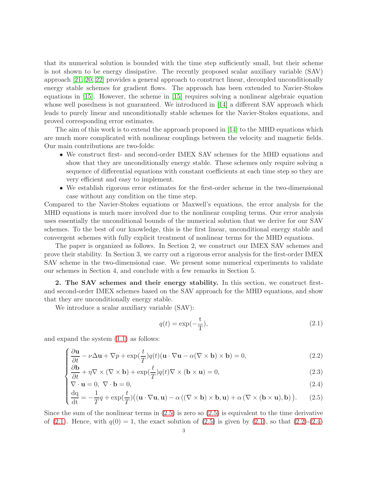that its numerical solution is bounded with the time step sufficiently small, but their scheme is not shown to be energy dissipative. The recently proposed scalar auxiliary variable (SAV) approach [\[21,](#page-26-10) [20,](#page-26-11) [22\]](#page-26-12) provides a general approach to construct linear, decoupled unconditionally energy stable schemes for gradient flows. The approach has been extended to Navier-Stokes equations in [\[15\]](#page-26-13). However, the scheme in [\[15\]](#page-26-13) requires solving a nonlinear algebraic equation whose well posedness is not guaranteed. We introduced in [\[14\]](#page-26-14) a different SAV approach which leads to purely linear and unconditionally stable schemes for the Navier-Stokes equations, and proved corresponding error estimates.

The aim of this work is to extend the approach proposed in [\[14\]](#page-26-14) to the MHD equations which are much more complicated with nonlinear couplings between the velocity and magnetic fields. Our main contributions are two-folds:

- We construct first- and second-order IMEX SAV schemes for the MHD equations and show that they are unconditionally energy stable. These schemes only require solving a sequence of differential equations with constant coefficients at each time step so they are very efficient and easy to implement.
- We establish rigorous error estimates for the first-order scheme in the two-dimensional case without any condition on the time step.

Compared to the Navier-Stokes equations or Maxwell's equations, the error analysis for the MHD equations is much more involved due to the nonlinear coupling terms. Our error analysis uses essentially the unconditional bounds of the numerical solution that we derive for our SAV schemes. To the best of our knowledge, this is the first linear, unconditional energy stable and convergent schemes with fully explicit treatment of nonlinear terms for the MHD equations.

The paper is organized as follows. In Section 2, we construct our IMEX SAV schemes and prove their stability. In Section 3, we carry out a rigorous error analysis for the first-order IMEX SAV scheme in the two-dimensional case. We present some numerical experiments to validate our schemes in Section 4, and conclude with a few remarks in Section 5.

2. The SAV schemes and their energy stability. In this section, we construct firstand second-order IMEX schemes based on the SAV approach for the MHD equations, and show that they are unconditionally energy stable.

We introduce a scalar auxiliary variable (SAV):

<span id="page-2-1"></span>
$$
q(t) = \exp(-\frac{t}{T}),\tag{2.1}
$$

and expand the system [\(1.1\)](#page-0-0) as follows:

$$
\int \frac{\partial \mathbf{u}}{\partial t} - \nu \Delta \mathbf{u} + \nabla p + \exp(\frac{t}{T}) q(t) (\mathbf{u} \cdot \nabla \mathbf{u} - \alpha (\nabla \times \mathbf{b}) \times \mathbf{b}) = 0,
$$
\n(2.2)

$$
\begin{cases}\n\frac{\partial t}{\partial t} - \nu \Delta \mathbf{u} + \nabla p + \exp(\frac{\tau}{T}) q(t) (\mathbf{u} \cdot \nabla \mathbf{u} - \alpha (\nabla \times \mathbf{b}) \times \mathbf{b}) = 0, \\
\frac{\partial \mathbf{b}}{\partial t} + \eta \nabla \times (\nabla \times \mathbf{b}) + \exp(\frac{t}{T}) q(t) \nabla \times (\mathbf{b} \times \mathbf{u}) = 0,\n\end{cases}
$$
\n(2.2)

$$
\nabla \cdot \mathbf{u} = 0, \ \nabla \cdot \mathbf{b} = 0,\tag{2.4}
$$

<span id="page-2-0"></span>
$$
\begin{cases}\n\nabla \cdot \mathbf{u} = 0, \ \nabla \cdot \mathbf{b} = 0, \\
\frac{dq}{dt} = -\frac{1}{T}q + \exp(\frac{t}{T}) \big( (\mathbf{u} \cdot \nabla \mathbf{u}, \mathbf{u}) - \alpha \left( (\nabla \times \mathbf{b}) \times \mathbf{b}, \mathbf{u} \right) + \alpha \left( \nabla \times (\mathbf{b} \times \mathbf{u}), \mathbf{b} \right) \big). \tag{2.5}\n\end{cases}
$$

Since the sum of the nonlinear terms in  $(2.5)$  is zero so  $(2.5)$  is equivalent to the time derivative of [\(2.1\)](#page-2-1). Hence, with  $q(0) = 1$ , the exact solution of [\(2.5\)](#page-2-0) is given by (2.1), so that [\(2.2\)](#page-2-0)-[\(2.4\)](#page-2-0)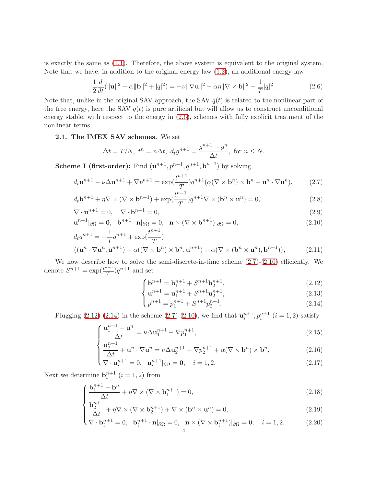is exactly the same as [\(1.1\)](#page-0-0). Therefore, the above system is equivalent to the original system. Note that we have, in addition to the original energy law  $(1.2)$ , an additional energy law

<span id="page-3-0"></span>
$$
\frac{1}{2}\frac{d}{dt}(\|\mathbf{u}\|^2 + \alpha \|\mathbf{b}\|^2 + |q|^2) = -\nu \|\nabla \mathbf{u}\|^2 - \alpha \eta \|\nabla \times \mathbf{b}\|^2 - \frac{1}{T}|q|^2.
$$
 (2.6)

Note that, unlike in the original SAV approach, the SAV  $q(t)$  is related to the nonlinear part of the free energy, here the SAV  $q(t)$  is pure artificial but will allow us to construct unconditional energy stable, with respect to the energy in [\(2.6\)](#page-3-0), schemes with fully explicit treatment of the nonlinear terms.

2.1. The IMEX SAV schemes. We set

$$
\Delta t = T/N, \ t^n = n\Delta t, \ d_t g^{n+1} = \frac{g^{n+1} - g^n}{\Delta t}, \text{ for } n \le N.
$$

**Scheme I (first-order):** Find  $(\mathbf{u}^{n+1}, p^{n+1}, q^{n+1}, \mathbf{b}^{n+1})$  by solving

<span id="page-3-1"></span>
$$
d_t \mathbf{u}^{n+1} - \nu \Delta \mathbf{u}^{n+1} + \nabla p^{n+1} = \exp(\frac{t^{n+1}}{T}) q^{n+1} (\alpha(\nabla \times \mathbf{b}^n) \times \mathbf{b}^n - \mathbf{u}^n \cdot \nabla \mathbf{u}^n),
$$
 (2.7)

$$
d_t \mathbf{b}^{n+1} + \eta \nabla \times (\nabla \times \mathbf{b}^{n+1}) + \exp(\frac{t^{n+1}}{T}) q^{n+1} \nabla \times (\mathbf{b}^n \times \mathbf{u}^n) = 0,
$$
\n(2.8)

$$
\nabla \cdot \mathbf{u}^{n+1} = 0, \quad \nabla \cdot \mathbf{b}^{n+1} = 0,\tag{2.9}
$$

$$
\mathbf{u}^{n+1}|_{\partial\Omega} = \mathbf{0}, \quad \mathbf{b}^{n+1} \cdot \mathbf{n}|_{\partial\Omega} = 0, \quad \mathbf{n} \times (\nabla \times \mathbf{b}^{n+1})|_{\partial\Omega} = 0,\tag{2.10}
$$

$$
d_t q^{n+1} = -\frac{1}{T} q^{n+1} + \exp(\frac{t^{n+1}}{T})
$$
  

$$
((\mathbf{u}^n \cdot \nabla \mathbf{u}^n, \mathbf{u}^{n+1}) - \alpha((\nabla \times \mathbf{b}^n) \times \mathbf{b}^n, \mathbf{u}^{n+1}) + \alpha(\nabla \times (\mathbf{b}^n \times \mathbf{u}^n), \mathbf{b}^{n+1})),
$$
 (2.11)

We now describe how to solve the semi-discrete-in-time scheme  $(2.7)-(2.10)$  $(2.7)-(2.10)$  efficiently. We denote  $S^{n+1} = \exp(\frac{t^{n+1}}{T})$  $\frac{1}{T}$ ) $q^{n+1}$  and set

$$
\begin{cases} \mathbf{b}^{n+1} = \mathbf{b}_1^{n+1} + S^{n+1} \mathbf{b}_2^{n+1}, \\ \mathbf{u}^{n+1} = \mathbf{u}^{n+1} + S^{n+1} \mathbf{u}^{n+1} \end{cases}
$$
 (2.12)

$$
\mathbf{u}^{n+1} = \mathbf{u}_1^{n+1} + S^{n+1} \mathbf{u}_2^{n+1},\tag{2.13}
$$

$$
\left( p^{n+1} = p_1^{n+1} + S^{n+1} p_2^{n+1} \right). \tag{2.14}
$$

<span id="page-3-2"></span>Plugging [\(2.12\)](#page-3-2)-[\(2.14\)](#page-3-2) in the scheme [\(2.7\)](#page-3-1)-[\(2.10\)](#page-3-1), we find that  $\mathbf{u}_i^{n+1}, p_i^{n+1}$  ( $i = 1, 2$ ) satisfy

$$
\int \frac{\mathbf{u}_1^{n+1} - \mathbf{u}^n}{\Delta t} = \nu \Delta \mathbf{u}_1^{n+1} - \nabla p_1^{n+1},
$$
\n(2.15)

$$
\begin{cases}\n\frac{\mathbf{u}_2^{n+1}}{\Delta t} + \mathbf{u}^n \cdot \nabla \mathbf{u}^n = \nu \Delta \mathbf{u}_2^{n+1} - \nabla p_2^{n+1} + \alpha (\nabla \times \mathbf{b}^n) \times \mathbf{b}^n, \\
\nabla \cdot \mathbf{u}_i^{n+1} = 0, \quad \mathbf{u}_i^{n+1} |_{\partial \Omega} = \mathbf{0}, \quad i = 1, 2.\n\end{cases}
$$
\n(2.16)

$$
\left(\nabla \cdot \mathbf{u}_{i}^{n+1} = 0, \ \mathbf{u}_{i}^{n+1} |_{\partial \Omega} = \mathbf{0}, \ i = 1, 2. \right) \tag{2.17}
$$

<span id="page-3-4"></span><span id="page-3-3"></span>Next we determine  $\mathbf{b}_{i}^{n+1}$   $(i = 1, 2)$  from

$$
\int \frac{\mathbf{b}_1^{n+1} - \mathbf{b}^n}{\Delta t} + \eta \nabla \times (\nabla \times \mathbf{b}_1^{n+1}) = 0,
$$
\n(2.18)

$$
\left\{ \frac{\mathbf{b}_2^{n+1}}{\Delta t} + \eta \nabla \times (\nabla \times \mathbf{b}_2^{n+1}) + \nabla \times (\mathbf{b}^n \times \mathbf{u}^n) = 0, \right\}
$$
 (2.19)

$$
\begin{aligned} \left(\nabla \cdot \mathbf{b}_{i}^{n+1} = 0, \quad \mathbf{b}_{i}^{n+1} \cdot \mathbf{n} \middle|_{\partial \Omega} = 0, \quad \mathbf{n} \times (\nabla \times \mathbf{b}_{i}^{n+1}) \middle|_{\partial \Omega} = 0, \quad i = 1, 2. \end{aligned} \tag{2.20}
$$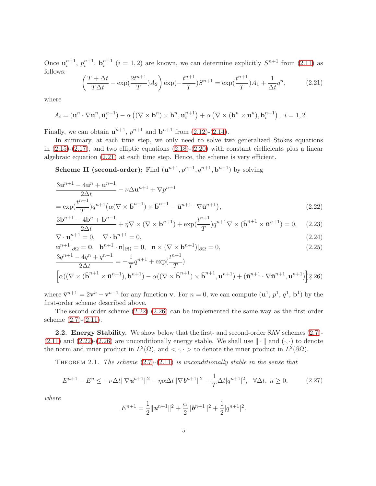Once  $\mathbf{u}_i^{n+1}$ ,  $p_i^{n+1}$ ,  $\mathbf{b}_i^{n+1}$   $(i = 1, 2)$  are known, we can determine explicitly  $S^{n+1}$  from [\(2.11\)](#page-3-1) as follows:

<span id="page-4-0"></span>
$$
\left(\frac{T+\Delta t}{T\Delta t} - \exp(\frac{2t^{n+1}}{T})A_2\right) \exp(-\frac{t^{n+1}}{T})S^{n+1} = \exp(\frac{t^{n+1}}{T})A_1 + \frac{1}{\Delta t}q^n,\tag{2.21}
$$

where

$$
A_i = (\mathbf{u}^n \cdot \nabla \mathbf{u}^n, \tilde{\mathbf{u}}_i^{n+1}) - \alpha \left( (\nabla \times \mathbf{b}^n) \times \mathbf{b}^n, \mathbf{u}_i^{n+1} \right) + \alpha \left( \nabla \times (\mathbf{b}^n \times \mathbf{u}^n), \mathbf{b}_i^{n+1} \right), \ i = 1, 2.
$$

Finally, we can obtain  $u^{n+1}$ ,  $p^{n+1}$  and  $b^{n+1}$  from [\(2.12\)](#page-3-2)-[\(2.14\)](#page-3-2).

In summary, at each time step, we only need to solve two generalized Stokes equations in  $(2.15)-(2.17)$  $(2.15)-(2.17)$ , and two elliptic equations  $(2.18)-(2.20)$  $(2.18)-(2.20)$  with constant ciefficients plus a linear algebraic equation [\(2.21\)](#page-4-0) at each time step. Hence, the scheme is very efficient.

**Scheme II (second-order):** Find  $(\mathbf{u}^{n+1}, p^{n+1}, q^{n+1}, \mathbf{b}^{n+1})$  by solving

<span id="page-4-1"></span>
$$
\frac{3\mathbf{u}^{n+1} - 4\mathbf{u}^n + \mathbf{u}^{n-1}}{2\Delta t} - \nu \Delta \mathbf{u}^{n+1} + \nabla p^{n+1}
$$
  
=  $\exp(\frac{t^{n+1}}{T})q^{n+1}(\alpha(\nabla \times \mathbf{b}^{n+1}) \times \mathbf{b}^{n+1} - \mathbf{u}^{n+1} \cdot \nabla \mathbf{u}^{n+1}),$  (2.22)

$$
\frac{3\mathbf{b}^{n+1} - 4\mathbf{b}^n + \mathbf{b}^{n-1}}{2\Delta t} + \eta \nabla \times (\nabla \times \mathbf{b}^{n+1}) + \exp(\frac{t^{n+1}}{T})q^{n+1} \nabla \times (\mathbf{b}^{n+1} \times \mathbf{\bar{u}}^{n+1}) = 0, \quad (2.23)
$$

$$
\nabla \cdot \mathbf{u}^{n+1} = 0, \quad \nabla \cdot \mathbf{b}^{n+1} = 0,\tag{2.24}
$$

$$
\mathbf{u}^{n+1}|_{\partial\Omega} = \mathbf{0}, \quad \mathbf{b}^{n+1} \cdot \mathbf{n}|_{\partial\Omega} = 0, \quad \mathbf{n} \times (\nabla \times \mathbf{b}^{n+1})|_{\partial\Omega} = 0,
$$
\n
$$
3a^{n+1} - 4a^n + a^{n-1} - 1 \qquad \qquad t^{n+1}
$$
\n(2.25)

$$
\frac{3q^{n+1} - 4q^n + q^{n-1}}{2\Delta t} = -\frac{1}{T}q^{n+1} + \exp(\frac{t^{n+1}}{T})
$$
  

$$
\left[\alpha((\nabla \times (\bar{\mathbf{b}}^{n+1} \times \bar{\mathbf{u}}^{n+1}), \mathbf{b}^{n+1}) - \alpha((\nabla \times \bar{\mathbf{b}}^{n+1}) \times \bar{\mathbf{b}}^{n+1}, \mathbf{u}^{n+1}) + (\bar{\mathbf{u}}^{n+1} \cdot \nabla \bar{\mathbf{u}}^{n+1}, \mathbf{u}^{n+1})\right]\right]
$$

where  $\bar{\mathbf{v}}^{n+1} = 2\mathbf{v}^n - \mathbf{v}^{n-1}$  for any function **v**. For  $n = 0$ , we can compute  $(\mathbf{u}^1, p^1, q^1, \mathbf{b}^1)$  by the first-order scheme described above.

The second-order scheme [\(2.22\)](#page-4-1)-[\(2.26\)](#page-4-1) can be implemented the same way as the first-order scheme  $(2.7)-(2.11)$  $(2.7)-(2.11)$ .

2.2. Energy Stability. We show below that the first- and second-order SAV schemes [\(2.7\)](#page-3-1)- $(2.11)$  and  $(2.22)-(2.26)$  $(2.22)-(2.26)$  are unconditionally energy stable. We shall use  $\|\cdot\|$  and  $(\cdot, \cdot)$  to denote the norm and inner product in  $L^2(\Omega)$ , and  $\langle \cdot, \cdot \rangle$  to denote the inner product in  $L^2(\partial\Omega)$ .

<span id="page-4-3"></span>THEOREM 2.1. The scheme  $(2.7)-(2.11)$  $(2.7)-(2.11)$  $(2.7)-(2.11)$  is unconditionally stable in the sense that

<span id="page-4-2"></span>
$$
E^{n+1} - E^n \le -\nu \Delta t \|\nabla u^{n+1}\|^2 - \eta \alpha \Delta t \|\nabla b^{n+1}\|^2 - \frac{1}{T} \Delta t |q^{n+1}|^2, \quad \forall \Delta t, \ n \ge 0,
$$
 (2.27)

where

$$
E^{n+1} = \frac{1}{2} ||u^{n+1}||^2 + \frac{\alpha}{2} ||b^{n+1}||^2 + \frac{1}{2} |q^{n+1}|^2.
$$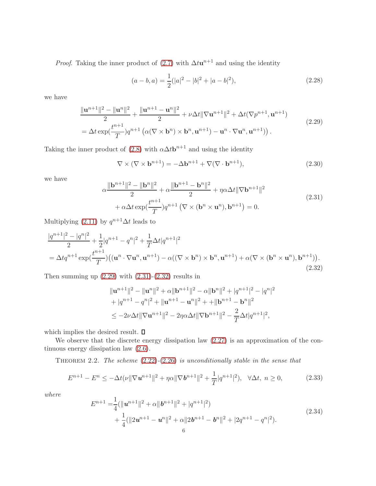*Proof.* Taking the inner product of [\(2.7\)](#page-3-1) with  $\Delta t$ **u**<sup>n+1</sup> and using the identity

$$
(a - b, a) = \frac{1}{2}(|a|^2 - |b|^2 + |a - b|^2),
$$
\n(2.28)

we have

<span id="page-5-0"></span>
$$
\frac{\|\mathbf{u}^{n+1}\|^2 - \|\mathbf{u}^n\|^2}{2} + \frac{\|\mathbf{u}^{n+1} - \mathbf{u}^n\|^2}{2} + \nu \Delta t \|\nabla \mathbf{u}^{n+1}\|^2 + \Delta t (\nabla p^{n+1}, \mathbf{u}^{n+1})
$$
\n
$$
= \Delta t \exp(\frac{t^{n+1}}{T}) q^{n+1} \left( \alpha (\nabla \times \mathbf{b}^n) \times \mathbf{b}^n, \mathbf{u}^{n+1} \right) - \mathbf{u}^n \cdot \nabla \mathbf{u}^n, \mathbf{u}^{n+1} ). \tag{2.29}
$$

Taking the inner product of [\(2.8\)](#page-3-1) with  $\alpha \Delta t \mathbf{b}^{n+1}$  and using the identity

<span id="page-5-5"></span>
$$
\nabla \times (\nabla \times \mathbf{b}^{n+1}) = -\Delta \mathbf{b}^{n+1} + \nabla (\nabla \cdot \mathbf{b}^{n+1}),
$$
\n(2.30)

we have

<span id="page-5-1"></span>
$$
\alpha \frac{\|\mathbf{b}^{n+1}\|^2 - \|\mathbf{b}^n\|^2}{2} + \alpha \frac{\|\mathbf{b}^{n+1} - \mathbf{b}^n\|^2}{2} + \eta \alpha \Delta t \|\nabla \mathbf{b}^{n+1}\|^2
$$
\n
$$
+ \alpha \Delta t \exp(\frac{t^{n+1}}{T}) q^{n+1} \left(\nabla \times (\mathbf{b}^n \times \mathbf{u}^n), \mathbf{b}^{n+1}\right) = 0. \tag{2.31}
$$

Multiplying  $(2.11)$  by  $q^{n+1}\Delta t$  leads to

<span id="page-5-2"></span>
$$
\frac{|q^{n+1}|^2 - |q^n|^2}{2} + \frac{1}{2}|q^{n+1} - q^n|^2 + \frac{1}{T}\Delta t|q^{n+1}|^2
$$
  
=  $\Delta t q^{n+1} \exp(\frac{t^{n+1}}{T}) ((\mathbf{u}^n \cdot \nabla \mathbf{u}^n, \mathbf{u}^{n+1}) - \alpha((\nabla \times \mathbf{b}^n) \times \mathbf{b}^n, \mathbf{u}^{n+1}) + \alpha(\nabla \times (\mathbf{b}^n \times \mathbf{u}^n), \mathbf{b}^{n+1})).$ \n(2.32)

Then summing up  $(2.29)$  with  $(2.31)-(2.32)$  $(2.31)-(2.32)$  results in

$$
\|\mathbf{u}^{n+1}\|^2 - \|\mathbf{u}^n\|^2 + \alpha \|\mathbf{b}^{n+1}\|^2 - \alpha \|\mathbf{b}^n\|^2 + |q^{n+1}|^2 - |q^n|^2
$$
  
+ 
$$
|q^{n+1} - q^n|^2 + \|\mathbf{u}^{n+1} - \mathbf{u}^n\|^2 + \|\mathbf{b}^{n+1} - \mathbf{b}^n\|^2
$$
  

$$
\leq -2\nu\Delta t \|\nabla \mathbf{u}^{n+1}\|^2 - 2\eta\alpha\Delta t \|\nabla \mathbf{b}^{n+1}\|^2 - \frac{2}{T}\Delta t |q^{n+1}|^2,
$$

which implies the desired result.  $\square$ 

We observe that the discrete energy dissipation law  $(2.27)$  is an approximation of the continuous energy dissipation law [\(2.6\)](#page-3-0).

THEOREM 2.2. The scheme  $(2.22)-(2.26)$  $(2.22)-(2.26)$  $(2.22)-(2.26)$  is unconditionally stable in the sense that

<span id="page-5-4"></span>
$$
E^{n+1} - E^n \le -\Delta t(\nu \|\nabla \mathbf{u}^{n+1}\|^2 + \eta \alpha \|\nabla \mathbf{b}^{n+1}\|^2 + \frac{1}{T} |q^{n+1}|^2), \quad \forall \Delta t, \ n \ge 0,
$$
\n(2.33)

where

<span id="page-5-3"></span>
$$
E^{n+1} = \frac{1}{4} (\| \mathbf{u}^{n+1} \|^{2} + \alpha \| \mathbf{b}^{n+1} \|^{2} + |q^{n+1}|^{2})
$$
  
+ 
$$
\frac{1}{4} (\| 2\mathbf{u}^{n+1} - \mathbf{u}^{n} \|^{2} + \alpha \| 2\mathbf{b}^{n+1} - \mathbf{b}^{n} \|^{2} + |2q^{n+1} - q^{n} |^{2}).
$$
\n(2.34)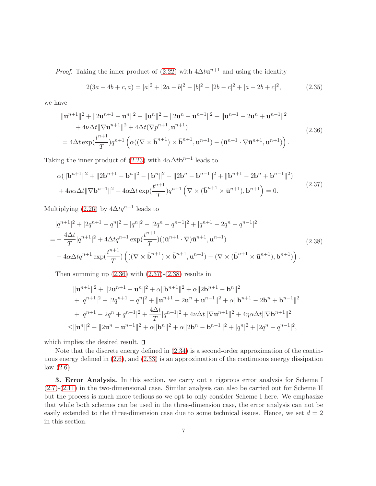*Proof.* Taking the inner product of  $(2.22)$  with  $4\Delta t\mathbf{u}^{n+1}$  and using the identity

$$
2(3a - 4b + c, a) = |a|^2 + |2a - b|^2 - |b|^2 - |2b - c|^2 + |a - 2b + c|^2,
$$
\n(2.35)

we have

<span id="page-6-0"></span>
$$
\|\mathbf{u}^{n+1}\|^2 + \|2\mathbf{u}^{n+1} - \mathbf{u}^n\|^2 - \|\mathbf{u}^n\|^2 - \|2\mathbf{u}^n - \mathbf{u}^{n-1}\|^2 + \|\mathbf{u}^{n+1} - 2\mathbf{u}^n + \mathbf{u}^{n-1}\|^2 + 4\nu\Delta t \|\nabla \mathbf{u}^{n+1}\|^2 + 4\Delta t (\nabla p^{n+1}, \mathbf{u}^{n+1}) = 4\Delta t \exp(\frac{t^{n+1}}{T})q^{n+1} \left( \alpha((\nabla \times \bar{\mathbf{b}}^{n+1}) \times \bar{\mathbf{b}}^{n+1}, \mathbf{u}^{n+1}) - (\bar{\mathbf{u}}^{n+1} \cdot \nabla \bar{\mathbf{u}}^{n+1}, \mathbf{u}^{n+1}) \right).
$$
\n(2.36)

Taking the inner product of  $(2.23)$  with  $4\alpha\Delta t$ **b**<sup>n+1</sup> leads to

<span id="page-6-1"></span>
$$
\alpha(\|\mathbf{b}^{n+1}\|^2 + \|2\mathbf{b}^{n+1} - \mathbf{b}^n\|^2 - \|\mathbf{b}^n\|^2 - \|2\mathbf{b}^n - \mathbf{b}^{n-1}\|^2 + \|\mathbf{b}^{n+1} - 2\mathbf{b}^n + \mathbf{b}^{n-1}\|^2) + 4\eta\alpha\Delta t \|\nabla \mathbf{b}^{n+1}\|^2 + 4\alpha\Delta t \exp(\frac{t^{n+1}}{T})q^{n+1} \left(\nabla \times (\bar{\mathbf{b}}^{n+1} \times \bar{\mathbf{u}}^{n+1}), \mathbf{b}^{n+1}\right) = 0.
$$
\n(2.37)

Multiplying [\(2.26\)](#page-4-1) by  $4\Delta tq^{n+1}$  leads to

<span id="page-6-2"></span>
$$
|q^{n+1}|^2 + |2q^{n+1} - q^n|^2 - |q^n|^2 - |2q^n - q^{n-1}|^2 + |q^{n+1} - 2q^n + q^{n-1}|^2
$$
  
= 
$$
-\frac{4\Delta t}{T}|q^{n+1}|^2 + 4\Delta t q^{n+1} \exp(\frac{t^{n+1}}{T})((\bar{\mathbf{u}}^{n+1} \cdot \nabla)\bar{\mathbf{u}}^{n+1}, \mathbf{u}^{n+1})
$$
  

$$
-4\alpha\Delta t q^{n+1} \exp(\frac{t^{n+1}}{T}) ((\nabla \times \bar{\mathbf{b}}^{n+1}) \times \bar{\mathbf{b}}^{n+1}, \mathbf{u}^{n+1}) - (\nabla \times (\bar{\mathbf{b}}^{n+1} \times \bar{\mathbf{u}}^{n+1}), \mathbf{b}^{n+1}) ).
$$
 (2.38)

Then summing up  $(2.36)$  with  $(2.37)-(2.38)$  $(2.37)-(2.38)$  results in

$$
\|\mathbf{u}^{n+1}\|^2 + \|2\mathbf{u}^{n+1} - \mathbf{u}^n\|^2 + \alpha \|\mathbf{b}^{n+1}\|^2 + \alpha \|2\mathbf{b}^{n+1} - \mathbf{b}^n\|^2
$$
  
+  $|q^{n+1}|^2 + |2q^{n+1} - q^n|^2 + \|\mathbf{u}^{n+1} - 2\mathbf{u}^n + \mathbf{u}^{n-1}\|^2 + \alpha \|\mathbf{b}^{n+1} - 2\mathbf{b}^n + \mathbf{b}^{n-1}\|^2$   
+  $|q^{n+1} - 2q^n + q^{n-1}|^2 + \frac{4\Delta t}{T}|q^{n+1}|^2 + 4\nu\Delta t \|\nabla \mathbf{u}^{n+1}\|^2 + 4\eta\alpha\Delta t \|\nabla \mathbf{b}^{n+1}\|^2$   

$$
\leq \|\mathbf{u}^n\|^2 + \|2\mathbf{u}^n - \mathbf{u}^{n-1}\|^2 + \alpha \|\mathbf{b}^n\|^2 + \alpha \|2\mathbf{b}^n - \mathbf{b}^{n-1}\|^2 + |q^n|^2 + |2q^n - q^{n-1}|^2,
$$

which implies the desired result.  $\square$ 

Note that the discrete energy defined in [\(2.34\)](#page-5-3) is a second-order approximation of the continuous energy defined in [\(2.6\)](#page-3-0), and [\(2.33\)](#page-5-4) is an approximation of the continuous energy dissipation  $law (2.6).$  $law (2.6).$  $law (2.6).$ 

3. Error Analysis. In this section, we carry out a rigorous error analysis for Scheme I [\(2.7\)](#page-3-1)-[\(2.11\)](#page-3-1) in the two-dimensional case. Similar analysis can also be carried out for Scheme II but the process is much more tedious so we opt to only consider Scheme I here. We emphasize that while both schemes can be used in the three-dimension case, the error analysis can not be easily extended to the three-dimension case due to some technical issues. Hence, we set  $d = 2$ in this section.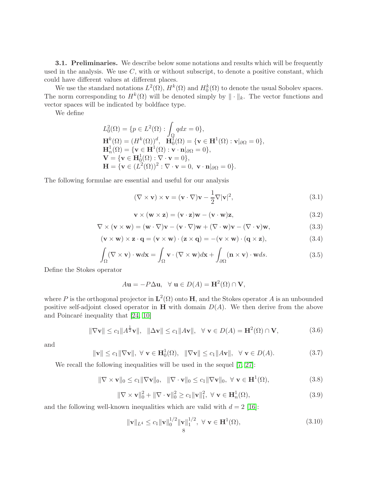**3.1. Preliminaries.** We describe below some notations and results which will be frequently used in the analysis. We use  $C$ , with or without subscript, to denote a positive constant, which could have different values at different places.

We use the standard notations  $L^2(\Omega)$ ,  $H^k(\Omega)$  and  $H_0^k(\Omega)$  to denote the usual Sobolev spaces. The norm corresponding to  $H^k(\Omega)$  will be denoted simply by  $\|\cdot\|_k$ . The vector functions and vector spaces will be indicated by boldface type.

We define

$$
L_0^2(\Omega) = \{p \in L^2(\Omega) : \int_{\Omega} q dx = 0\},
$$
  
\n
$$
\mathbf{H}^k(\Omega) = (H^k(\Omega))^d, \quad \mathbf{H}_0^1(\Omega) = \{\mathbf{v} \in \mathbf{H}^1(\Omega) : \mathbf{v}|_{\partial\Omega} = 0\},
$$
  
\n
$$
\mathbf{H}_n^1(\Omega) = \{\mathbf{v} \in \mathbf{H}^1(\Omega) : \mathbf{v} \cdot \mathbf{n}|_{\partial\Omega} = 0\},
$$
  
\n
$$
\mathbf{V} = \{\mathbf{v} \in \mathbf{H}_0^1(\Omega) : \nabla \cdot \mathbf{v} = 0\},
$$
  
\n
$$
\mathbf{H} = \{\mathbf{v} \in (L^2(\Omega))^2 : \nabla \cdot \mathbf{v} = 0, \quad \mathbf{v} \cdot \mathbf{n}|_{\partial\Omega} = 0\}.
$$

The following formulae are essential and useful for our analysis

<span id="page-7-0"></span>
$$
(\nabla \times \mathbf{v}) \times \mathbf{v} = (\mathbf{v} \cdot \nabla)\mathbf{v} - \frac{1}{2}\nabla |\mathbf{v}|^2,
$$
\n(3.1)

<span id="page-7-1"></span>
$$
\mathbf{v} \times (\mathbf{w} \times \mathbf{z}) = (\mathbf{v} \cdot \mathbf{z})\mathbf{w} - (\mathbf{v} \cdot \mathbf{w})\mathbf{z},
$$
(3.2)

<span id="page-7-6"></span>
$$
\nabla \times (\mathbf{v} \times \mathbf{w}) = (\mathbf{w} \cdot \nabla)\mathbf{v} - (\mathbf{v} \cdot \nabla)\mathbf{w} + (\nabla \cdot \mathbf{w})\mathbf{v} - (\nabla \cdot \mathbf{v})\mathbf{w},
$$
(3.3)

<span id="page-7-2"></span>
$$
(\mathbf{v} \times \mathbf{w}) \times \mathbf{z} \cdot \mathbf{q} = (\mathbf{v} \times \mathbf{w}) \cdot (\mathbf{z} \times \mathbf{q}) = -(\mathbf{v} \times \mathbf{w}) \cdot (\mathbf{q} \times \mathbf{z}),
$$
(3.4)

<span id="page-7-3"></span>
$$
\int_{\Omega} (\nabla \times \mathbf{v}) \cdot \mathbf{w} d\mathbf{x} = \int_{\Omega} \mathbf{v} \cdot (\nabla \times \mathbf{w}) d\mathbf{x} + \int_{\partial \Omega} (\mathbf{n} \times \mathbf{v}) \cdot \mathbf{w} ds.
$$
\n(3.5)

Define the Stokes operator

$$
A\mathbf{u} = -P\Delta \mathbf{u}, \quad \forall \ \mathbf{u} \in D(A) = \mathbf{H}^2(\Omega) \cap \mathbf{V},
$$

where P is the orthogonal projector in  $\mathbf{L}^2(\Omega)$  onto H, and the Stokes operator A is an unbounded positive self-adjoint closed operator in  $H$  with domain  $D(A)$ . We then derive from the above and Poincaré inequality that  $[24, 10]$  $[24, 10]$ 

$$
\|\nabla \mathbf{v}\| \le c_1 \|A^{\frac{1}{2}} \mathbf{v}\|, \quad \|\Delta \mathbf{v}\| \le c_1 \|A\mathbf{v}\|, \quad \forall \ \mathbf{v} \in D(A) = \mathbf{H}^2(\Omega) \cap \mathbf{V}, \tag{3.6}
$$

and

$$
\|\mathbf{v}\| \le c_1 \|\nabla \mathbf{v}\|, \ \forall \ \mathbf{v} \in \mathbf{H}_0^1(\Omega), \ \ \|\nabla \mathbf{v}\| \le c_1 \|A\mathbf{v}\|, \ \ \forall \ \mathbf{v} \in D(A). \tag{3.7}
$$

We recall the following inequalities will be used in the sequel  $[7, 27]$  $[7, 27]$ :

<span id="page-7-4"></span>
$$
\|\nabla \times \mathbf{v}\|_{0} \le c_{1} \|\nabla \mathbf{v}\|_{0}, \quad \|\nabla \cdot \mathbf{v}\|_{0} \le c_{1} \|\nabla \mathbf{v}\|_{0}, \ \forall \ \mathbf{v} \in \mathbf{H}^{1}(\Omega), \tag{3.8}
$$

$$
\|\nabla \times \mathbf{v}\|_{0}^{2} + \|\nabla \cdot \mathbf{v}\|_{0}^{2} \ge c_{1} \|\mathbf{v}\|_{1}^{2}, \ \forall \ \mathbf{v} \in \mathbf{H}_{n}^{1}(\Omega), \tag{3.9}
$$

and the following well-known inequalities which are valid with  $d = 2$  [\[16\]](#page-26-9):

<span id="page-7-5"></span>
$$
\|\mathbf{v}\|_{L^{4}} \leq c_{1} \|\mathbf{v}\|_{0}^{1/2} \|\mathbf{v}\|_{1}^{1/2}, \ \forall \ \mathbf{v} \in \mathbf{H}^{1}(\Omega), \tag{3.10}
$$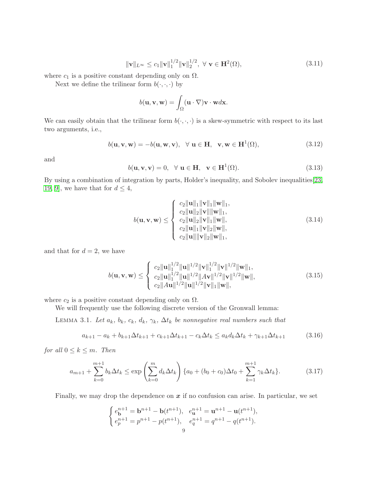<span id="page-8-1"></span>
$$
\|\mathbf{v}\|_{L^{\infty}} \le c_1 \|\mathbf{v}\|_1^{1/2} \|\mathbf{v}\|_2^{1/2}, \ \forall \ \mathbf{v} \in \mathbf{H}^2(\Omega), \tag{3.11}
$$

where  $c_1$  is a positive constant depending only on  $\Omega$ .

Next we define the trilinear form  $b(\cdot, \cdot, \cdot)$  by

$$
b(\mathbf{u}, \mathbf{v}, \mathbf{w}) = \int_{\Omega} (\mathbf{u} \cdot \nabla) \mathbf{v} \cdot \mathbf{w} d\mathbf{x}.
$$

We can easily obtain that the trilinear form  $b(\cdot, \cdot, \cdot)$  is a skew-symmetric with respect to its last two arguments, i.e.,

$$
b(\mathbf{u}, \mathbf{v}, \mathbf{w}) = -b(\mathbf{u}, \mathbf{w}, \mathbf{v}), \quad \forall \ \mathbf{u} \in \mathbf{H}, \quad \mathbf{v}, \mathbf{w} \in \mathbf{H}^1(\Omega), \tag{3.12}
$$

and

$$
b(\mathbf{u}, \mathbf{v}, \mathbf{v}) = 0, \quad \forall \ \mathbf{u} \in \mathbf{H}, \quad \mathbf{v} \in \mathbf{H}^{1}(\Omega). \tag{3.13}
$$

By using a combination of integration by parts, Holder's inequality, and Sobolev inequalities[\[23,](#page-26-17) [19,](#page-26-18) [9\]](#page-26-19), we have that for  $d \leq 4$ ,

<span id="page-8-2"></span><span id="page-8-0"></span>
$$
b(\mathbf{u}, \mathbf{v}, \mathbf{w}) \leq \begin{cases} c_2 \|\mathbf{u}\|_1 \|\mathbf{v}\|_1 \|\mathbf{w}\|_1, \\ c_2 \|\mathbf{u}\|_2 \|\mathbf{v}\| \|\mathbf{w}\|_1, \\ c_2 \|\mathbf{u}\|_2 \|\mathbf{v}\|_1 \|\mathbf{w}\|, \\ c_2 \|\mathbf{u}\|_1 \|\mathbf{v}\|_2 \|\mathbf{w}\|, \\ c_2 \|\mathbf{u}\| \|\mathbf{v}\|_2 \|\mathbf{w}\|_1, \end{cases}
$$
(3.14)

and that for  $d = 2$ , we have

$$
b(\mathbf{u}, \mathbf{v}, \mathbf{w}) \leq \begin{cases} c_2 \|\mathbf{u}\|_1^{1/2} \|\mathbf{u}\|^{1/2} \|\mathbf{v}\|_1^{1/2} \|\mathbf{v}\|^{1/2} \|\mathbf{w}\|_1, \\ c_2 \|\mathbf{u}\|_1^{1/2} \|\mathbf{u}\|^{1/2} \|\mathbf{A}\mathbf{v}\|^{1/2} \|\mathbf{v}\|^{1/2} \|\mathbf{w}\|, \\ c_2 \|\mathbf{A}\mathbf{u}\|^{1/2} \|\mathbf{u}\|^{1/2} \|\mathbf{v}\|_1 \|\mathbf{w}\|, \end{cases}
$$
(3.15)

where  $c_2$  is a positive constant depending only on  $\Omega$ .

<span id="page-8-3"></span>We will frequently use the following discrete version of the Gronwall lemma:

LEMMA 3.1. Let  $a_k$ ,  $b_k$ ,  $c_k$ ,  $d_k$ ,  $\gamma_k$ ,  $\Delta t_k$  be nonnegative real numbers such that

$$
a_{k+1} - a_k + b_{k+1}\Delta t_{k+1} + c_{k+1}\Delta t_{k+1} - c_k\Delta t_k \le a_k d_k \Delta t_k + \gamma_{k+1}\Delta t_{k+1}
$$
 (3.16)

for all  $0 \leq k \leq m$ . Then

$$
a_{m+1} + \sum_{k=0}^{m+1} b_k \Delta t_k \le \exp\left(\sum_{k=0}^m d_k \Delta t_k\right) \{a_0 + (b_0 + c_0)\Delta t_0 + \sum_{k=1}^{m+1} \gamma_k \Delta t_k\}.
$$
 (3.17)

Finally, we may drop the dependence on  $x$  if no confusion can arise. In particular, we set

$$
\begin{cases} e_{\mathbf{b}}^{n+1} = \mathbf{b}^{n+1} - \mathbf{b}(t^{n+1}), & e_{\mathbf{u}}^{n+1} = \mathbf{u}^{n+1} - \mathbf{u}(t^{n+1}), \\ e_{p}^{n+1} = p^{n+1} - p(t^{n+1}), & e_{q}^{n+1} = q^{n+1} - q(t^{n+1}). \end{cases}
$$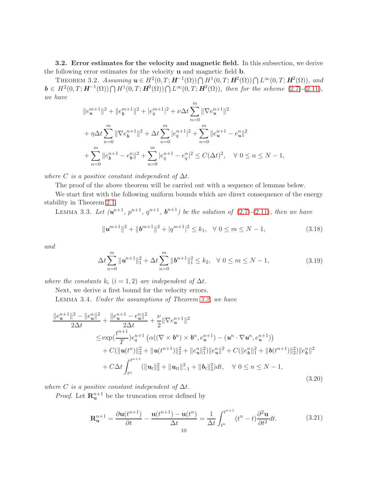<span id="page-9-0"></span>3.2. Error estimates for the velocity and magnetic field. In this subsection, we derive the following error estimates for the velocity u and magnetic field b.

THEOREM 3.2. Assuming  $\mathbf{u} \in H^2(0,T; \mathbf{H}^{-1}(\Omega)) \bigcap H^1(0,T; \mathbf{H}^2(\Omega)) \bigcap L^{\infty}(0,T; \mathbf{H}^2(\Omega))$ , and  $\mathbf{b} \in H^2(0,T; \mathbf{H}^{-1}(\Omega)) \bigcap H^1(0,T; \mathbf{H}^2(\Omega)) \bigcap L^{\infty}(0,T; \mathbf{H}^2(\Omega)),$  then for the scheme  $(2.7)-(2.11)$  $(2.7)-(2.11)$  $(2.7)-(2.11)$ , we have

$$
||e_u^{m+1}||^2 + ||e_b^{m+1}||^2 + |e_q^{m+1}|^2 + \nu \Delta t \sum_{n=0}^m ||\nabla e_u^{n+1}||^2
$$
  
+  $\eta \Delta t \sum_{n=0}^m ||\nabla e_b^{n+1}||^2 + \Delta t \sum_{n=0}^m |e_q^{n+1}|^2 + \sum_{n=0}^m ||e_u^{n+1} - e_u^n||^2$   
+  $\sum_{n=0}^m ||e_b^{n+1} - e_b^n||^2 + \sum_{n=0}^m |e_q^{n+1} - e_q^n|^2 \le C(\Delta t)^2, \quad \forall \ 0 \le n \le N - 1,$ 

where C is a positive constant independent of  $\Delta t$ .

The proof of the above theorem will be carried out with a sequence of lemmas below.

We start first with the following uniform bounds which are direct consequence of the energy stability in Theorem [2.1.](#page-4-3)

LEMMA 3.3. Let  $(u^{n+1}, p^{n+1}, q^{n+1}, b^{n+1})$  be the solution of  $(2.7)-(2.11)$  $(2.7)-(2.11)$  $(2.7)-(2.11)$ , then we have

<span id="page-9-1"></span>
$$
\|\mathbf{u}^{m+1}\|^2 + \|\mathbf{b}^{m+1}\|^2 + |q^{m+1}|^2 \le k_1, \quad \forall \ 0 \le m \le N-1,
$$
\n(3.18)

and

<span id="page-9-2"></span>
$$
\Delta t \sum_{n=0}^{m} \|\mathbf{u}^{n+1}\|_{1}^{2} + \Delta t \sum_{n=0}^{m} \|\mathbf{b}^{n+1}\|_{1}^{2} \le k_{2}, \quad \forall \ 0 \le m \le N-1,
$$
\n(3.19)

where the constants  $k_i$   $(i = 1, 2)$  are independent of  $\Delta t$ .

Next, we derive a first bound for the velocity errors. Lemma 3.4. Under the assumptions of Theorem [3.2,](#page-9-0) we have

<span id="page-9-3"></span>
$$
\frac{\|e_{\mathbf{u}}^{n+1}\|^2 - \|e_{\mathbf{u}}^n\|^2}{2\Delta t} + \frac{\|e_{\mathbf{u}}^{n+1} - e_{\mathbf{u}}^n\|^2}{2\Delta t} + \frac{\nu}{2} \|\nabla e_{\mathbf{u}}^{n+1}\|^2
$$
\n
$$
\leq \exp(\frac{t^{n+1}}{T})e_q^{n+1} \left( \alpha((\nabla \times \mathbf{b}^n) \times \mathbf{b}^n, e_u^{n+1}) - (\mathbf{u}^n \cdot \nabla \mathbf{u}^n, e_u^{n+1}) \right)
$$
\n
$$
+ C(\|\mathbf{u}(t^n)\|_2^2 + \|\mathbf{u}(t^{n+1})\|_2^2 + \|e_u^n\|_1^2) \|e_u^n\|^2 + C(\|e_b^n\|_1^2 + \|\mathbf{b}(t^{n+1})\|_2^2) \|e_b^n\|^2
$$
\n
$$
+ C\Delta t \int_{t^n}^{t^{n+1}} (\|\mathbf{u}_t\|_2^2 + \|\mathbf{u}_{tt}\|_{-1}^2 + \|\mathbf{b}_t\|_2^2) dt, \quad \forall \ 0 \leq n \leq N - 1,
$$
\n(3.20)

where C is a positive constant independent of  $\Delta t$ .

*Proof.* Let  $\mathbf{R}_{\mathbf{u}}^{n+1}$  be the truncation error defined by

$$
\mathbf{R}_{\mathbf{u}}^{n+1} = \frac{\partial \mathbf{u}(t^{n+1})}{\partial t} - \frac{\mathbf{u}(t^{n+1}) - \mathbf{u}(t^n)}{\Delta t} = \frac{1}{\Delta t} \int_{t^n}^{t^{n+1}} (t^n - t) \frac{\partial^2 \mathbf{u}}{\partial t^2} dt.
$$
 (3.21)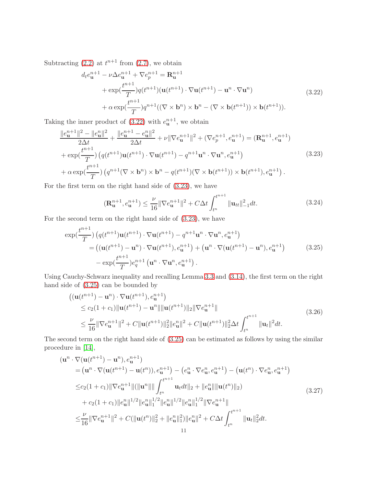Subtracting  $(2.2)$  at  $t^{n+1}$  from  $(2.7)$ , we obtain

<span id="page-10-0"></span>
$$
d_t e_{\mathbf{u}}^{n+1} - \nu \Delta e_{\mathbf{u}}^{n+1} + \nabla e_p^{n+1} = \mathbf{R}_{\mathbf{u}}^{n+1}
$$
  
+ 
$$
\exp(\frac{t^{n+1}}{T})q(t^{n+1})(\mathbf{u}(t^{n+1}) \cdot \nabla \mathbf{u}(t^{n+1}) - \mathbf{u}^n \cdot \nabla \mathbf{u}^n)
$$
  
+ 
$$
\alpha \exp(\frac{t^{n+1}}{T})q^{n+1}((\nabla \times \mathbf{b}^n) \times \mathbf{b}^n - (\nabla \times \mathbf{b}(t^{n+1})) \times \mathbf{b}(t^{n+1})).
$$
 (3.22)

Taking the inner product of  $(3.22)$  with  $e_{\mathbf{u}}^{n+1}$ , we obtain

<span id="page-10-1"></span>
$$
\frac{\|e_{\mathbf{u}}^{n+1}\|^2 - \|e_{\mathbf{u}}^n\|^2}{2\Delta t} + \frac{\|e_{\mathbf{u}}^{n+1} - e_{\mathbf{u}}^n\|^2}{2\Delta t} + \nu \|\nabla e_{\mathbf{u}}^{n+1}\|^2 + (\nabla e_p^{n+1}, e_{\mathbf{u}}^{n+1}) = (\mathbf{R}_{\mathbf{u}}^{n+1}, e_{\mathbf{u}}^{n+1})
$$
  
+ 
$$
\exp(\frac{t^{n+1}}{T}) \left( q(t^{n+1}) \mathbf{u}(t^{n+1}) \cdot \nabla \mathbf{u}(t^{n+1}) - q^{n+1} \mathbf{u}^n \cdot \nabla \mathbf{u}^n, e_{\mathbf{u}}^{n+1} \right)
$$
  
+ 
$$
\alpha \exp(\frac{t^{n+1}}{T}) \left( q^{n+1} (\nabla \times \mathbf{b}^n) \times \mathbf{b}^n - q(t^{n+1}) (\nabla \times \mathbf{b}(t^{n+1})) \times \mathbf{b}(t^{n+1}), e_{\mathbf{u}}^{n+1} \right).
$$
 (3.23)

For the first term on the right hand side of [\(3.23\)](#page-10-1), we have

$$
(\mathbf{R}_{\mathbf{u}}^{n+1}, e_{\mathbf{u}}^{n+1}) \le \frac{\nu}{16} \|\nabla e_{\mathbf{u}}^{n+1}\|^2 + C\Delta t \int_{t^n}^{t^{n+1}} \|\mathbf{u}_{tt}\|_{-1}^2 dt.
$$
 (3.24)

For the second term on the right hand side of [\(3.23\)](#page-10-1), we have

<span id="page-10-2"></span>
$$
\exp(\frac{t^{n+1}}{T})\left(q(t^{n+1})\mathbf{u}(t^{n+1})\cdot\nabla\mathbf{u}(t^{n+1})-q^{n+1}\mathbf{u}^n\cdot\nabla\mathbf{u}^n,e_{\mathbf{u}}^{n+1}\right) =\left((\mathbf{u}(t^{n+1})-\mathbf{u}^n)\cdot\nabla\mathbf{u}(t^{n+1}),e_{\mathbf{u}}^{n+1}\right)+\left(\mathbf{u}^n\cdot\nabla(\mathbf{u}(t^{n+1})-\mathbf{u}^n),e_{\mathbf{u}}^{n+1}\right) -\exp(\frac{t^{n+1}}{T})e_q^{n+1}\left(\mathbf{u}^n\cdot\nabla\mathbf{u}^n,e_{\mathbf{u}}^{n+1}\right).
$$
\n(3.25)

Using Cauchy-Schwarz inequality and recalling Lemma [3.3](#page-9-1) and [\(3.14\)](#page-8-0), the first term on the right hand side of [\(3.25\)](#page-10-2) can be bounded by

$$
\begin{split}\n &\left( (\mathbf{u}(t^{n+1}) - \mathbf{u}^n) \cdot \nabla \mathbf{u}(t^{n+1}), e_{\mathbf{u}}^{n+1} \right) \\
 &\leq c_2 (1 + c_1) \|\mathbf{u}(t^{n+1}) - \mathbf{u}^n\| \|\mathbf{u}(t^{n+1})\|_2 \|\nabla e_{\mathbf{u}}^{n+1}\| \\
 &\leq \frac{\nu}{16} \|\nabla e_{\mathbf{u}}^{n+1}\|^2 + C \|\mathbf{u}(t^{n+1})\|_2^2 \|e_{\mathbf{u}}^n\|^2 + C \|\mathbf{u}(t^{n+1})\|_2^2 \Delta t \int_{t^n}^{t^{n+1}} \|\mathbf{u}_t\|^2 dt.\n \end{split} \tag{3.26}
$$

The second term on the right hand side of [\(3.25\)](#page-10-2) can be estimated as follows by using the similar procedure in [\[14\]](#page-26-14),

<span id="page-10-3"></span>
$$
(\mathbf{u}^{n} \cdot \nabla(\mathbf{u}(t^{n+1}) - \mathbf{u}^{n}), e_{\mathbf{u}}^{n+1})
$$
\n
$$
= (\mathbf{u}^{n} \cdot \nabla(\mathbf{u}(t^{n+1}) - \mathbf{u}(t^{n})), e_{\mathbf{u}}^{n+1}) - (e_{\mathbf{u}}^{n} \cdot \nabla e_{\mathbf{u}}^{n}, e_{\mathbf{u}}^{n+1}) - (\mathbf{u}(t^{n}) \cdot \nabla e_{\mathbf{u}}^{n}, e_{\mathbf{u}}^{n+1})
$$
\n
$$
\leq c_{2}(1 + c_{1}) \|\nabla e_{\mathbf{u}}^{n+1}\| (\|\mathbf{u}^{n}\| \|\int_{t^{n}}^{t^{n+1}} \mathbf{u}_{t} dt \|_{2} + \|e_{\mathbf{u}}^{n}\| \|\mathbf{u}(t^{n})\|_{2})
$$
\n
$$
+ c_{2}(1 + c_{1}) \|e_{\mathbf{u}}^{n}\|^{1/2} \|e_{\mathbf{u}}^{n}\|^{1/2} \|e_{\mathbf{u}}^{n}\|^{1/2} \|e_{\mathbf{u}}^{n}\|^{1/2} \|\nabla e_{\mathbf{u}}^{n+1}\|
$$
\n
$$
\leq \frac{\nu}{16} \|\nabla e_{\mathbf{u}}^{n+1}\|^{2} + C(\|\mathbf{u}(t^{n})\|_{2}^{2} + \|e_{\mathbf{u}}^{n}\|_{1}^{2}) \|e_{\mathbf{u}}^{n}\|^{2} + C\Delta t \int_{t^{n}}^{t^{n+1}} \|\mathbf{u}_{t}\|_{2}^{2} dt.
$$
\n11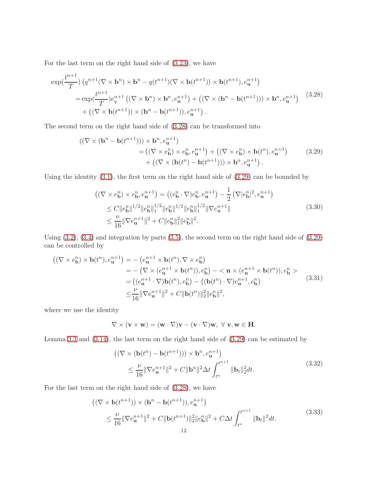For the last term on the right hand side of [\(3.23\)](#page-10-1), we have

<span id="page-11-0"></span>
$$
\exp(\frac{t^{n+1}}{T})\left(q^{n+1}(\nabla \times \mathbf{b}^n) \times \mathbf{b}^n - q(t^{n+1})(\nabla \times \mathbf{b}(t^{n+1})) \times \mathbf{b}(t^{n+1}), e_{\mathbf{u}}^{n+1}\right)
$$
  
\n
$$
= \exp(\frac{t^{n+1}}{T})e_q^{n+1}\left((\nabla \times \mathbf{b}^n) \times \mathbf{b}^n, e_{\mathbf{u}}^{n+1}\right) + \left((\nabla \times (\mathbf{b}^n - \mathbf{b}(t^{n+1}))) \times \mathbf{b}^n, e_{\mathbf{u}}^{n+1}\right) \quad (3.28)
$$
  
\n
$$
+ \left((\nabla \times \mathbf{b}(t^{n+1})) \times (\mathbf{b}^n - \mathbf{b}(t^{n+1})), e_{\mathbf{u}}^{n+1}\right).
$$

The second term on the right hand side of [\(3.28\)](#page-11-0) can be transformed into

<span id="page-11-1"></span>
$$
((\nabla \times (\mathbf{b}^n - \mathbf{b}(t^{n+1}))) \times \mathbf{b}^n, e_{\mathbf{u}}^{n+1})
$$
  
= 
$$
((\nabla \times e_{\mathbf{b}}^n) \times e_{\mathbf{b}}^n, e_{\mathbf{u}}^{n+1}) + ((\nabla \times e_{\mathbf{b}}^n) \times \mathbf{b}(t^n), e_{\mathbf{u}}^{n+1})
$$
  
+ 
$$
((\nabla \times (\mathbf{b}(t^n) - \mathbf{b}(t^{n+1}))) \times \mathbf{b}^n, e_{\mathbf{u}}^{n+1}).
$$
 (3.29)

Using the identity [\(3.1\)](#page-7-0), the first term on the right hand side of [\(3.29\)](#page-11-1) can be bounded by

$$
\begin{split}\n\left( (\nabla \times e_{\mathbf{b}}^{n}) \times e_{\mathbf{b}}^{n}, e_{\mathbf{u}}^{n+1} \right) &= \left( (e_{\mathbf{b}}^{n} \cdot \nabla) e_{\mathbf{b}}^{n}, e_{\mathbf{u}}^{n+1} \right) - \frac{1}{2} \left( \nabla |e_{\mathbf{b}}^{n}|^{2}, e_{\mathbf{u}}^{n+1} \right) \\
&\leq C \|e_{\mathbf{b}}^{n}\|^{1/2} \|e_{\mathbf{b}}^{n}\|_{1}^{1/2} \|e_{\mathbf{b}}^{n}\|^{1/2} \|e_{\mathbf{b}}^{n}\|_{1}^{1/2} \|\nabla e_{\mathbf{u}}^{n+1}\| \\
&\leq \frac{\nu}{16} \|\nabla e_{\mathbf{u}}^{n+1}\|^{2} + C \|e_{\mathbf{b}}^{n}\|_{1}^{2} \|e_{\mathbf{b}}^{n}\|^{2}.\n\end{split} \tag{3.30}
$$

Using [\(3.2\)](#page-7-1), [\(3.4\)](#page-7-2) and integration by parts [\(3.5\)](#page-7-3), the second term on the right hand side of [\(3.29\)](#page-11-1) can be controlled by

<span id="page-11-3"></span>
$$
\begin{split} \left( (\nabla \times e_{\mathbf{b}}^{n}) \times \mathbf{b}(t^{n}), e_{\mathbf{u}}^{n+1} \right) &= -\left( e_{\mathbf{u}}^{n+1} \times \mathbf{b}(t^{n}), \nabla \times e_{\mathbf{b}}^{n} \right) \\ &= -\left( \nabla \times (e_{\mathbf{u}}^{n+1} \times \mathbf{b}(t^{n})), e_{\mathbf{b}}^{n} \right) - \langle \mathbf{n} \times (e_{\mathbf{u}}^{n+1} \times \mathbf{b}(t^{n})), e_{\mathbf{b}}^{n} \rangle \\ &= \left( (e_{\mathbf{u}}^{n+1} \cdot \nabla) \mathbf{b}(t^{n}), e_{\mathbf{b}}^{n} \right) - \left( (\mathbf{b}(t^{n}) \cdot \nabla) e_{\mathbf{u}}^{n+1}, e_{\mathbf{b}}^{n} \right) \\ &\leq \frac{\nu}{16} \|\nabla e_{\mathbf{u}}^{n+1}\|^{2} + C \|\mathbf{b}(t^{n})\|_{2}^{2} \|e_{\mathbf{b}}^{n}\|^{2}, \end{split} \tag{3.31}
$$

where we use the identity

$$
\nabla \times ({\bf v} \times {\bf w}) = ({\bf w} \cdot \nabla) {\bf v} - ({\bf v} \cdot \nabla) {\bf w}, \ \forall \ {\bf v}, {\bf w} \in {\bf H}.
$$

Lemma [3.3](#page-9-1) and [\(3.14\)](#page-8-0), the last term on the right hand side of [\(3.29\)](#page-11-1) can be estimated by

$$
\begin{aligned} \left( (\nabla \times (\mathbf{b}(t^n) - \mathbf{b}(t^{n+1}))) \times \mathbf{b}^n, e_{\mathbf{u}}^{n+1} \right) \\ &\leq \frac{\nu}{16} \| \nabla e_{\mathbf{u}}^{n+1} \|^2 + C \| \mathbf{b}^n \|^2 \Delta t \int_{t^n}^{t^{n+1}} \| \mathbf{b}_t \|^2 dt. \end{aligned} \tag{3.32}
$$

For the last term on the right hand side of [\(3.28\)](#page-11-0), we have

<span id="page-11-2"></span>
$$
\begin{aligned} \left( (\nabla \times \mathbf{b}(t^{n+1})) \times (\mathbf{b}^n - \mathbf{b}(t^{n+1})), e_{\mathbf{u}}^{n+1} \right) \\ &\leq \frac{\nu}{16} \|\nabla e_{\mathbf{u}}^{n+1}\|^2 + C \|\mathbf{b}(t^{n+1})\|_2^2 \|e_{\mathbf{b}}^n\|^2 + C\Delta t \int_{t^n}^{t^{n+1}} \|\mathbf{b}_t\|^2 dt. \end{aligned} \tag{3.33}
$$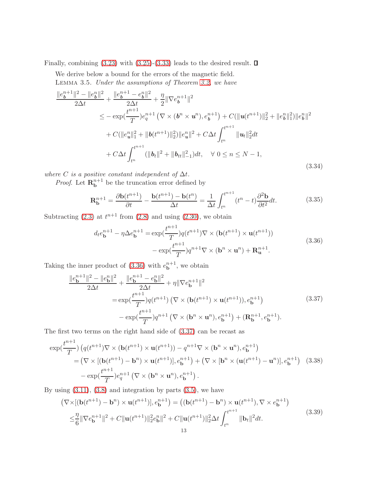Finally, combining  $(3.23)$  with  $(3.25)-(3.33)$  $(3.25)-(3.33)$  leads to the desired result.  $\square$ 

We derive below a bound for the errors of the magnetic field. Lemma 3.5. Under the assumptions of Theorem [3.2,](#page-9-0) we have

<span id="page-12-3"></span>
$$
\frac{\|e_{\boldsymbol{b}}^{n+1}\|^2 - \|e_{\boldsymbol{b}}^n\|^2}{2\Delta t} + \frac{\|e_{\boldsymbol{b}}^{n+1} - e_{\boldsymbol{b}}^n\|^2}{2\Delta t} + \frac{\eta}{2} \|\nabla e_{\boldsymbol{b}}^{n+1}\|^2
$$
\n
$$
\leq -\exp(\frac{t^{n+1}}{T})e_q^{n+1} \left(\nabla \times (\boldsymbol{b}^n \times \boldsymbol{u}^n), e_{\boldsymbol{b}}^{n+1}\right) + C(\|\boldsymbol{u}(t^{n+1})\|_2^2 + \|e_{\boldsymbol{b}}^n\|^2) \|e_{\boldsymbol{b}}^n\|^2
$$
\n
$$
+ C(\|e_u^n\|_1^2 + \|\boldsymbol{b}(t^{n+1})\|_2^2) \|e_u^n\|^2 + C\Delta t \int_{t^n}^{t^{n+1}} \|\boldsymbol{u}_t\|_2^2 dt
$$
\n
$$
+ C\Delta t \int_{t^n}^{t^{n+1}} (\|\boldsymbol{b}_t\|^2 + \|\boldsymbol{b}_{tt}\|_{-1}^2) dt, \quad \forall \ 0 \leq n \leq N - 1,
$$
\n(3.34)

where C is a positive constant independent of  $\Delta t$ .

*Proof.* Let  $\mathbf{R}_{\mathbf{b}}^{n+1}$  be the truncation error defined by

$$
\mathbf{R}_{\mathbf{b}}^{n+1} = \frac{\partial \mathbf{b}(t^{n+1})}{\partial t} - \frac{\mathbf{b}(t^{n+1}) - \mathbf{b}(t^n)}{\Delta t} = \frac{1}{\Delta t} \int_{t^n}^{t^{n+1}} (t^n - t) \frac{\partial^2 \mathbf{b}}{\partial t^2} dt.
$$
 (3.35)

Subtracting  $(2.3)$  at  $t^{n+1}$  from  $(2.8)$  and using  $(2.30)$ , we obtain

<span id="page-12-0"></span>
$$
d_t e_{\mathbf{b}}^{n+1} - \eta \Delta e_{\mathbf{b}}^{n+1} = \exp(\frac{t^{n+1}}{T}) q(t^{n+1}) \nabla \times (\mathbf{b}(t^{n+1}) \times \mathbf{u}(t^{n+1}))
$$
  

$$
- \exp(\frac{t^{n+1}}{T}) q^{n+1} \nabla \times (\mathbf{b}^n \times \mathbf{u}^n) + \mathbf{R}_{\mathbf{u}}^{n+1}.
$$
 (3.36)

Taking the inner product of  $(3.36)$  with  $e_{\mathbf{b}}^{n+1}$ , we obtain

<span id="page-12-1"></span>
$$
\frac{\|e_{\mathbf{b}}^{n+1}\|^2 - \|e_{\mathbf{b}}^n\|^2}{2\Delta t} + \frac{\|e_{\mathbf{b}}^{n+1} - e_{\mathbf{b}}^n\|^2}{2\Delta t} + \eta \|\nabla e_{\mathbf{b}}^{n+1}\|^2
$$
\n
$$
= \exp(\frac{t^{n+1}}{T})q(t^{n+1}) \left(\nabla \times (\mathbf{b}(t^{n+1}) \times \mathbf{u}(t^{n+1})), e_{\mathbf{b}}^{n+1}\right)
$$
\n
$$
- \exp(\frac{t^{n+1}}{T})q^{n+1} \left(\nabla \times (\mathbf{b}^n \times \mathbf{u}^n), e_{\mathbf{b}}^{n+1}\right) + (\mathbf{R}_{\mathbf{b}}^{n+1}, e_{\mathbf{b}}^{n+1}).
$$
\n(3.37)

The first two terms on the right hand side of [\(3.37\)](#page-12-1) can be recast as

<span id="page-12-2"></span>
$$
\exp(\frac{t^{n+1}}{T})\left(q(t^{n+1})\nabla\times(\mathbf{b}(t^{n+1})\times\mathbf{u}(t^{n+1})) - q^{n+1}\nabla\times(\mathbf{b}^n\times\mathbf{u}^n), e_{\mathbf{b}}^{n+1}\right)
$$
  
=\left(\nabla\times[(\mathbf{b}(t^{n+1}) - \mathbf{b}^n)\times\mathbf{u}(t^{n+1})], e\_{\mathbf{b}}^{n+1}\right) + \left(\nabla\times[\mathbf{b}^n\times(\mathbf{u}(t^{n+1}) - \mathbf{u}^n)], e\_{\mathbf{b}}^{n+1}\right) (3.38)  
- \exp(\frac{t^{n+1}}{T})e\_q^{n+1} \left(\nabla\times(\mathbf{b}^n\times\mathbf{u}^n), e\_{\mathbf{b}}^{n+1}\right).

By using  $(3.11)$ ,  $(3.8)$  and integration by parts  $(3.5)$ , we have

$$
\begin{split} \left(\nabla \times [(\mathbf{b}(t^{n+1}) - \mathbf{b}^n) \times \mathbf{u}(t^{n+1})], e_{\mathbf{b}}^{n+1}\right) &= \left((\mathbf{b}(t^{n+1}) - \mathbf{b}^n) \times \mathbf{u}(t^{n+1}), \nabla \times e_{\mathbf{b}}^{n+1}\right) \\ &\leq & \frac{\eta}{6} \|\nabla e_{\mathbf{b}}^{n+1}\|^2 + C \|\mathbf{u}(t^{n+1})\|_2^2 e_{\mathbf{b}}^n\|^2 + C \|\mathbf{u}(t^{n+1})\|_2^2 \Delta t \int_{t^n}^{t^{n+1}} \|\mathbf{b}_t\|^2 dt. \end{split} \tag{3.39}
$$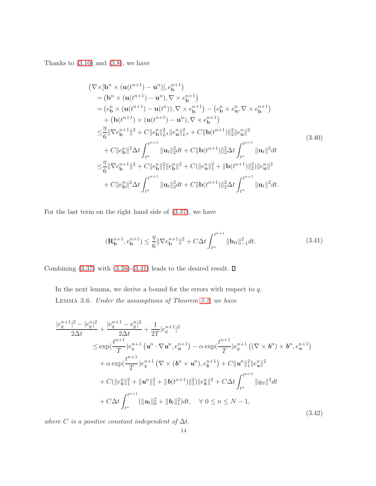Thanks to  $(3.10)$  and  $(3.8)$ , we have

$$
(\nabla \times [\mathbf{b}^{n} \times (\mathbf{u}(t^{n+1}) - \mathbf{u}^{n})], e_{\mathbf{b}}^{n+1})
$$
  
\n
$$
= (\mathbf{b}^{n} \times (\mathbf{u}(t^{n+1}) - \mathbf{u}^{n}), \nabla \times e_{\mathbf{b}}^{n+1})
$$
  
\n
$$
= (e_{\mathbf{b}}^{n} \times (\mathbf{u}(t^{n+1}) - \mathbf{u}(t^{n})), \nabla \times e_{\mathbf{b}}^{n+1}) - (e_{\mathbf{b}}^{n} \times e_{\mathbf{u}}^{n}, \nabla \times e_{\mathbf{b}}^{n+1})
$$
  
\n
$$
+ (\mathbf{b}(t^{n+1}) \times (\mathbf{u}(t^{n+1}) - \mathbf{u}^{n}), \nabla \times e_{\mathbf{b}}^{n+1})
$$
  
\n
$$
\leq \frac{\eta}{6} \|\nabla e_{\mathbf{b}}^{n+1}\|^{2} + C \|e_{\mathbf{b}}^{n} \|_{L^{4}}^{2} \|e_{\mathbf{u}}^{n} \|_{L^{4}}^{2} + C \|b(t^{n+1})\|_{2}^{2} \|e_{\mathbf{u}}^{n} \|^{2}
$$
  
\n
$$
+ C \|e_{\mathbf{b}}^{n} \|^{2} \Delta t \int_{t^{n}}^{t^{n+1}} \| \mathbf{u}_{t} \|_{2}^{2} dt + C \|b(t^{n+1})\|_{2}^{2} \Delta t \int_{t^{n}}^{t^{n+1}} \| \mathbf{u}_{t} \|^{2} dt
$$
  
\n
$$
\leq \frac{\eta}{6} \|\nabla e_{\mathbf{b}}^{n+1} \|^{2} + C \|e_{\mathbf{b}}^{n} \|_{1}^{2} \|e_{\mathbf{b}}^{n} \|^{2} + C (||e_{\mathbf{u}}^{n}||_{1}^{2} + ||\mathbf{b}(t^{n+1})||_{2}^{2}) ||e_{\mathbf{u}}^{n} \|^{2}
$$
  
\n
$$
+ C ||e_{\mathbf{b}}^{n} \|^{2} \Delta t \int_{t^{n}}^{t^{n+1}} \| \mathbf{u}_{t} \|_{2}^{2} dt + C ||\mathbf{b}(t^{n+1})||_{2}^{2} \
$$

For the last term on the right hand side of [\(3.37\)](#page-12-1), we have

<span id="page-13-0"></span>
$$
(\mathbf{R}_{\mathbf{b}}^{n+1}, e_{\mathbf{b}}^{n+1}) \le \frac{\eta}{6} \|\nabla e_{\mathbf{b}}^{n+1}\|^2 + C\Delta t \int_{t^n}^{t^{n+1}} \|\mathbf{b}_{tt}\|_{-1}^2 dt.
$$
 (3.41)

Combining  $(3.37)$  with  $(3.38)-(3.41)$  $(3.38)-(3.41)$  leads to the desired result.  $\square$ 

<span id="page-13-1"></span>In the next lemma, we derive a bound for the errors with respect to  $q$ . Lemma 3.6. Under the assumptions of Theorem [3.2,](#page-9-0) we have

<span id="page-13-2"></span>
$$
\frac{|e_q^{n+1}|^2 - |e_q^n|^2}{2\Delta t} + \frac{|e_q^{n+1} - e_q^n|^2}{2\Delta t} + \frac{1}{2T}|e_q^{n+1}|^2
$$
\n
$$
\leq \exp(\frac{t^{n+1}}{T})e_q^{n+1}(u^n \cdot \nabla u^n, e_u^{n+1}) - \alpha \exp(\frac{t^{n+1}}{T})e_q^{n+1}((\nabla \times \boldsymbol{b}^n) \times \boldsymbol{b}^n, e_u^{n+1})
$$
\n
$$
+ \alpha \exp(\frac{t^{n+1}}{T})e_q^{n+1}(\nabla \times (\boldsymbol{b}^n \times \boldsymbol{u}^n), e_b^{n+1}) + C||\boldsymbol{u}^n||_1^2||e_u^n||^2
$$
\n
$$
+ C(||e_b^n||_1^2 + ||\boldsymbol{u}^n||_1^2 + ||\boldsymbol{b}(t^{n+1})||_1^2)||e_b^n||^2 + C\Delta t \int_{t^n}^{t^{n+1}} ||q_{tt}||^2 dt
$$
\n
$$
+ C\Delta t \int_{t^n}^{t^{n+1}} (||\boldsymbol{u}_t||_0^2 + ||\boldsymbol{b}_t||_1^2) dt, \quad \forall \ 0 \leq n \leq N - 1,
$$
\n(3.42)

where C is a positive constant independent of  $\Delta t$ .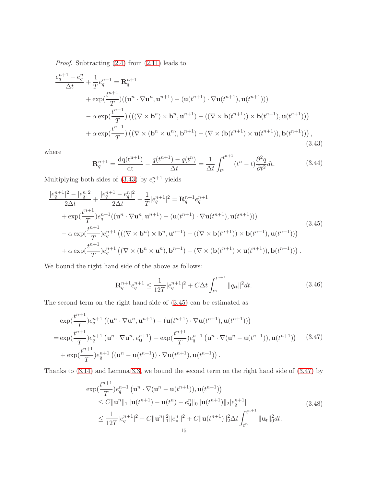Proof. Subtracting [\(2.4\)](#page-2-0) from [\(2.11\)](#page-3-1) leads to

<span id="page-14-0"></span>
$$
\frac{e_q^{n+1} - e_q^n}{\Delta t} + \frac{1}{T} e_q^{n+1} = \mathbf{R}_q^{n+1}
$$
  
+ 
$$
\exp(\frac{t^{n+1}}{T})((\mathbf{u}^n \cdot \nabla \mathbf{u}^n, \mathbf{u}^{n+1}) - (\mathbf{u}(t^{n+1}) \cdot \nabla \mathbf{u}(t^{n+1}), \mathbf{u}(t^{n+1})))
$$
  
- 
$$
\alpha \exp(\frac{t^{n+1}}{T}) (((\nabla \times \mathbf{b}^n) \times \mathbf{b}^n, \mathbf{u}^{n+1}) - ((\nabla \times \mathbf{b}(t^{n+1})) \times \mathbf{b}(t^{n+1}), \mathbf{u}(t^{n+1})))
$$
  
+ 
$$
\alpha \exp(\frac{t^{n+1}}{T}) ((\nabla \times (\mathbf{b}^n \times \mathbf{u}^n), \mathbf{b}^{n+1}) - (\nabla \times (\mathbf{b}(t^{n+1}) \times \mathbf{u}(t^{n+1})), \mathbf{b}(t^{n+1}))) ,
$$
  
(3.43)

where

$$
\mathbf{R}_q^{n+1} = \frac{\mathrm{dq}(t^{n+1})}{\mathrm{dt}} - \frac{q(t^{n+1}) - q(t^n)}{\Delta t} = \frac{1}{\Delta t} \int_{t^n}^{t^{n+1}} (t^n - t) \frac{\partial^2 q}{\partial t^2} dt. \tag{3.44}
$$

Multiplying both sides of  $(3.43)$  by  $e_q^{n+1}$  yields

<span id="page-14-1"></span>
$$
\frac{|e_q^{n+1}|^2 - |e_q^n|^2}{2\Delta t} + \frac{|e_q^{n+1} - e_q^n|^2}{2\Delta t} + \frac{1}{T}|e_q^{n+1}|^2 = \mathbf{R}_q^{n+1}e_q^{n+1}
$$
\n
$$
+ \exp(\frac{t^{n+1}}{T})e_q^{n+1}((\mathbf{u}^n \cdot \nabla \mathbf{u}^n, \mathbf{u}^{n+1}) - (\mathbf{u}(t^{n+1}) \cdot \nabla \mathbf{u}(t^{n+1}), \mathbf{u}(t^{n+1})))
$$
\n
$$
- \alpha \exp(\frac{t^{n+1}}{T})e_q^{n+1}((\nabla \times \mathbf{b}^n) \times \mathbf{b}^n, \mathbf{u}^{n+1}) - ((\nabla \times \mathbf{b}(t^{n+1})) \times \mathbf{b}(t^{n+1}), \mathbf{u}(t^{n+1})))
$$
\n
$$
+ \alpha \exp(\frac{t^{n+1}}{T})e_q^{n+1}((\nabla \times (\mathbf{b}^n \times \mathbf{u}^n), \mathbf{b}^{n+1}) - (\nabla \times (\mathbf{b}(t^{n+1}) \times \mathbf{u}(t^{n+1})), \mathbf{b}(t^{n+1})))
$$
\n(3.45)

We bound the right hand side of the above as follows:

$$
\mathbf{R}_q^{n+1} e_q^{n+1} \le \frac{1}{12T} |e_q^{n+1}|^2 + C\Delta t \int_{t^n}^{t^{n+1}} ||q_{tt}||^2 dt.
$$
 (3.46)

The second term on the right hand side of [\(3.45\)](#page-14-1) can be estimated as

<span id="page-14-2"></span>
$$
\exp(\frac{t^{n+1}}{T})e_q^{n+1} ((\mathbf{u}^n \cdot \nabla \mathbf{u}^n, \mathbf{u}^{n+1}) - (\mathbf{u}(t^{n+1}) \cdot \nabla \mathbf{u}(t^{n+1}), \mathbf{u}(t^{n+1})))
$$
\n
$$
= \exp(\frac{t^{n+1}}{T})e_q^{n+1} (\mathbf{u}^n \cdot \nabla \mathbf{u}^n, e_{\mathbf{u}}^{n+1}) + \exp(\frac{t^{n+1}}{T})e_q^{n+1} (\mathbf{u}^n \cdot \nabla (\mathbf{u}^n - \mathbf{u}(t^{n+1})), \mathbf{u}(t^{n+1}))
$$
\n
$$
+ \exp(\frac{t^{n+1}}{T})e_q^{n+1} ((\mathbf{u}^n - \mathbf{u}(t^{n+1})) \cdot \nabla \mathbf{u}(t^{n+1}), \mathbf{u}(t^{n+1})) .
$$
\n(3.47)

Thanks to [\(3.14\)](#page-8-0) and Lemma [3.3,](#page-9-1) we bound the second term on the right hand side of [\(3.47\)](#page-14-2) by

$$
\exp(\frac{t^{n+1}}{T})e_q^{n+1} (\mathbf{u}^n \cdot \nabla(\mathbf{u}^n - \mathbf{u}(t^{n+1})), \mathbf{u}(t^{n+1}))
$$
\n
$$
\leq C \|\mathbf{u}^n\|_1 \|\mathbf{u}(t^{n+1}) - \mathbf{u}(t^n) - e_u^n\|_0 \|\mathbf{u}(t^{n+1})\|_2 |e_q^{n+1}|
$$
\n
$$
\leq \frac{1}{12T} |e_q^{n+1}|^2 + C \|\mathbf{u}^n\|_1^2 \|e_u^n\|^2 + C \|\mathbf{u}(t^{n+1})\|_2^2 \Delta t \int_{t^n}^{t^{n+1}} \|\mathbf{u}_t\|_0^2 dt.
$$
\n(3.48)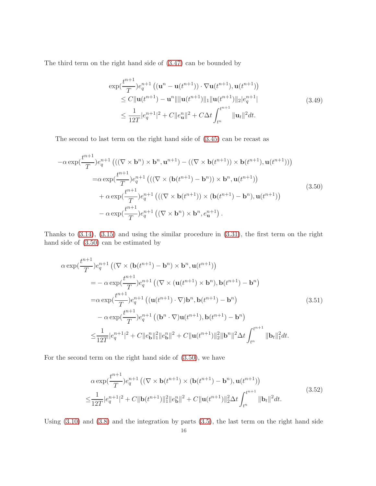The third term on the right hand side of [\(3.47\)](#page-14-2) can be bounded by

$$
\exp(\frac{t^{n+1}}{T})e_q^{n+1}((\mathbf{u}^n - \mathbf{u}(t^{n+1})) \cdot \nabla \mathbf{u}(t^{n+1}), \mathbf{u}(t^{n+1}))
$$
\n
$$
\leq C \|\mathbf{u}(t^{n+1}) - \mathbf{u}^n\| \|\mathbf{u}(t^{n+1})\|_1 \|\mathbf{u}(t^{n+1})\|_2 |e_q^{n+1}|
$$
\n
$$
\leq \frac{1}{12T}|e_q^{n+1}|^2 + C \|e_\mathbf{u}^n\|^2 + C \Delta t \int_{t^n}^{t^{n+1}} \|\mathbf{u}_t\|^2 dt. \tag{3.49}
$$

The second to last term on the right hand side of [\(3.45\)](#page-14-1) can be recast as

<span id="page-15-0"></span>
$$
-\alpha \exp(\frac{t^{n+1}}{T})e_q^{n+1} \left( ((\nabla \times \mathbf{b}^n) \times \mathbf{b}^n, \mathbf{u}^{n+1}) - ((\nabla \times \mathbf{b}(t^{n+1})) \times \mathbf{b}(t^{n+1}), \mathbf{u}(t^{n+1})) \right)
$$
  
\n
$$
= \alpha \exp(\frac{t^{n+1}}{T})e_q^{n+1} \left( ((\nabla \times (\mathbf{b}(t^{n+1}) - \mathbf{b}^n)) \times \mathbf{b}^n, \mathbf{u}(t^{n+1})) \right)
$$
  
\n
$$
+ \alpha \exp(\frac{t^{n+1}}{T})e_q^{n+1} \left( ((\nabla \times \mathbf{b}(t^{n+1})) \times (\mathbf{b}(t^{n+1}) - \mathbf{b}^n), \mathbf{u}(t^{n+1})) \right)
$$
  
\n
$$
- \alpha \exp(\frac{t^{n+1}}{T})e_q^{n+1} \left( (\nabla \times \mathbf{b}^n) \times \mathbf{b}^n, e_u^{n+1} \right).
$$
\n(3.50)

Thanks to [\(3.14\)](#page-8-0), [\(3.15\)](#page-8-2) and using the similar procedure in [\(3.31\)](#page-11-3), the first term on the right hand side of [\(3.50\)](#page-15-0) can be estimated by

$$
\alpha \exp(\frac{t^{n+1}}{T})e_q^{n+1} \left( (\nabla \times (\mathbf{b}(t^{n+1}) - \mathbf{b}^n) \times \mathbf{b}^n, \mathbf{u}(t^{n+1})) \right)
$$
  
\n
$$
= -\alpha \exp(\frac{t^{n+1}}{T})e_q^{n+1} \left( (\nabla \times (\mathbf{u}(t^{n+1}) \times \mathbf{b}^n), \mathbf{b}(t^{n+1}) - \mathbf{b}^n \right)
$$
  
\n
$$
= \alpha \exp(\frac{t^{n+1}}{T})e_q^{n+1} \left( (\mathbf{u}(t^{n+1}) \cdot \nabla) \mathbf{b}^n, \mathbf{b}(t^{n+1}) - \mathbf{b}^n \right)
$$
  
\n
$$
- \alpha \exp(\frac{t^{n+1}}{T})e_q^{n+1} \left( (\mathbf{b}^n \cdot \nabla) \mathbf{u}(t^{n+1}), \mathbf{b}(t^{n+1}) - \mathbf{b}^n \right)
$$
  
\n
$$
\leq \frac{1}{12T}|e_q^{n+1}|^2 + C||e_b^n||_1^2||e_b^n||^2 + C||\mathbf{u}(t^{n+1})||_2^2||\mathbf{b}^n||^2 \Delta t \int_{t^n}^{t^{n+1}} ||\mathbf{b}_t||_1^2 dt.
$$
 (3.51)

For the second term on the right hand side of [\(3.50\)](#page-15-0), we have

$$
\alpha \exp(\frac{t^{n+1}}{T})e_q^{n+1} \left( (\nabla \times \mathbf{b}(t^{n+1}) \times (\mathbf{b}(t^{n+1}) - \mathbf{b}^n), \mathbf{u}(t^{n+1}) \right)
$$
  

$$
\leq \frac{1}{12T} |e_q^{n+1}|^2 + C \|\mathbf{b}(t^{n+1})\|_1^2 \|e_\mathbf{b}^n\|^2 + C \|\mathbf{u}(t^{n+1})\|_2^2 \Delta t \int_{t^n}^{t^{n+1}} \|\mathbf{b}_t\|^2 dt.
$$
\n(3.52)

Using [\(3.10\)](#page-7-5) and [\(3.8\)](#page-7-4) and the integration by parts [\(3.5\)](#page-7-3), the last term on the right hand side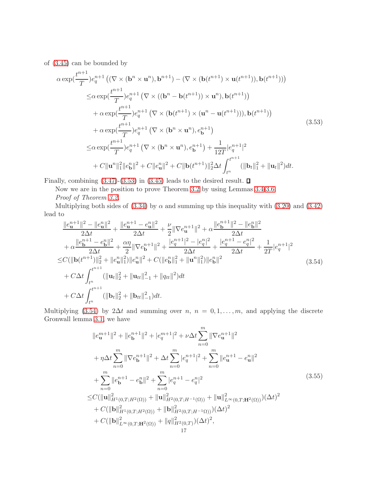of [\(3.45\)](#page-14-1) can be bounded by

<span id="page-16-0"></span>
$$
\alpha \exp(\frac{t^{n+1}}{T}) e_q^{n+1} \left( (\nabla \times (\mathbf{b}^n \times \mathbf{u}^n), \mathbf{b}^{n+1}) - (\nabla \times (\mathbf{b}(t^{n+1}) \times \mathbf{u}(t^{n+1})), \mathbf{b}(t^{n+1})) \right)
$$
  
\n
$$
\leq \alpha \exp(\frac{t^{n+1}}{T}) e_q^{n+1} \left( \nabla \times ((\mathbf{b}^n - \mathbf{b}(t^{n+1})) \times \mathbf{u}^n), \mathbf{b}(t^{n+1}) \right)
$$
  
\n
$$
+ \alpha \exp(\frac{t^{n+1}}{T}) e_q^{n+1} \left( \nabla \times (\mathbf{b}(t^{n+1}) \times (\mathbf{u}^n - \mathbf{u}(t^{n+1}))), \mathbf{b}(t^{n+1}) \right)
$$
  
\n
$$
+ \alpha \exp(\frac{t^{n+1}}{T}) e_q^{n+1} \left( \nabla \times (\mathbf{b}^n \times \mathbf{u}^n), e_b^{n+1} \right)
$$
  
\n
$$
\leq \alpha \exp(\frac{t^{n+1}}{T}) e_q^{n+1} \left( \nabla \times (\mathbf{b}^n \times \mathbf{u}^n), e_b^{n+1} \right) + \frac{1}{12T} |e_q^{n+1}|^2
$$
  
\n
$$
+ C \|\mathbf{u}^n\|_1^2 \|e_b^n\|^2 + C \|e_u^n\|^2 + C \|\mathbf{b}(t^{n+1})\|_2^2 \Delta t \int_{t^n}^{t^{n+1}} (\|\mathbf{b}_t\|_1^2 + \|\mathbf{u}_t\|^2) dt.
$$
\n(3.53)

Finally, combining  $(3.47)-(3.53)$  $(3.47)-(3.53)$  in  $(3.45)$  leads to the desired result.  $\Box$ 

Now we are in the position to prove Theorem [3.2](#page-9-0) by using Lemmas [3.4](#page-9-2)[-3.6.](#page-13-1) Proof of Theorem [3.2.](#page-9-0)

Multiplying both sides of [\(3.34\)](#page-12-3) by  $\alpha$  and summing up this inequality with [\(3.20\)](#page-9-3) and [\(3.42\)](#page-13-2) lead to

<span id="page-16-1"></span>
$$
\frac{\|e_{\mathbf{u}}^{n+1}\|^2 - \|e_{\mathbf{u}}^n\|^2}{2\Delta t} + \frac{\|e_{\mathbf{u}}^{n+1} - e_{\mathbf{u}}^n\|^2}{2\Delta t} + \frac{\nu}{2} \|\nabla e_{\mathbf{u}}^{n+1}\|^2 + \alpha \frac{\|e_{\mathbf{b}}^{n+1}\|^2 - \|e_{\mathbf{b}}^n\|^2}{2\Delta t} \n+ \alpha \frac{\|e_{\mathbf{b}}^{n+1} - e_{\mathbf{b}}^n\|^2}{2\Delta t} + \frac{\alpha \eta}{2} \|\nabla e_{\mathbf{b}}^{n+1}\|^2 + \frac{|e_{\mathbf{q}}^{n+1}|^2 - |e_{\mathbf{q}}^n|^2}{2\Delta t} + \frac{|e_{\mathbf{q}}^{n+1} - e_{\mathbf{q}}^n|^2}{2\Delta t} + \frac{1}{2T}|e_{\mathbf{q}}^{n+1}|^2 \n\leq C(\|\mathbf{b}(t^{n+1})\|_2^2 + \|e_{\mathbf{u}}^n\|_1^2) \|e_{\mathbf{u}}^n\|^2 + C(\|e_{\mathbf{b}}^n\|_1^2 + \|\mathbf{u}^n\|_1^2) \|e_{\mathbf{b}}^n\|^2 \n+ C\Delta t \int_{t^n}^{t^{n+1}} (\|\mathbf{u}_t\|_2^2 + \|\mathbf{u}_{tt}\|_{-1}^2 + \|q_{tt}\|^2) dt \n+ C\Delta t \int_{t^n}^{t^{n+1}} (\|\mathbf{b}_t\|_2^2 + \|\mathbf{b}_{tt}\|_{-1}^2) dt.
$$
\n(3.54)

Multiplying [\(3.54\)](#page-16-1) by 2∆t and summing over  $n, n = 0, 1, ..., m$ , and applying the discrete Gronwall lemma [3.1,](#page-8-3) we have

$$
||e_{\mathbf{u}}^{m+1}||^{2} + ||e_{\mathbf{b}}^{n+1}||^{2} + |e_{q}^{m+1}|^{2} + \nu \Delta t \sum_{n=0}^{m} ||\nabla e_{\mathbf{u}}^{n+1}||^{2}
$$
  
+  $\eta \Delta t \sum_{n=0}^{m} ||\nabla e_{\mathbf{b}}^{n+1}||^{2} + \Delta t \sum_{n=0}^{m} |e_{q}^{n+1}|^{2} + \sum_{n=0}^{m} ||e_{\mathbf{u}}^{n+1} - e_{\mathbf{u}}^{n}||^{2}$   
+  $\sum_{n=0}^{m} ||e_{\mathbf{b}}^{n+1} - e_{\mathbf{b}}^{n}||^{2} + \sum_{n=0}^{m} |e_{q}^{n+1} - e_{q}^{n}|^{2}$   

$$
\leq C(||\mathbf{u}||_{H^{1}(0,T;H^{2}(\Omega))}^{2} + ||\mathbf{u}||_{H^{2}(0,T;H^{-1}(\Omega))}^{2} + ||\mathbf{u}||_{L^{\infty}(0,T;H^{2}(\Omega))}^{2} + |C(||\mathbf{b}||_{H^{1}(0,T;H^{2}(\Omega))}^{2} + ||\mathbf{b}||_{H^{2}(0,T;H^{-1}(\Omega))}^{2}) (\Delta t)^{2}
$$
  
+  $C(||\mathbf{b}||_{L^{\infty}(0,T;H^{2}(\Omega))}^{2} + ||q||_{H^{2}(0,T)}^{2} + ||q||_{H^{2}(0,T)}^{2} + ||q||_{H^{2}(0,T)}^{2} + ||q||_{H^{2}(0,T)}^{2} + ||q||_{H^{2}(0,T)}^{2} + ||q||_{H^{2}(0,T)}^{2} + ||q||_{H^{2}(0,T)}^{2} + ||q||_{H^{2}(0,T)}^{2} + ||q||_{H^{2}(0,T)}^{2} + ||q||_{H^{2}(0,T)}^{2}$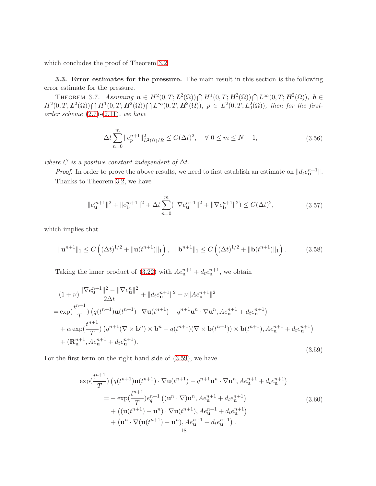which concludes the proof of Theorem [3.2.](#page-9-0)

<span id="page-17-3"></span>3.3. Error estimates for the pressure. The main result in this section is the following error estimate for the pressure.

THEOREM 3.7. Assuming  $\mathbf{u} \in H^2(0,T;\mathbf{L}^2(\Omega)) \bigcap H^1(0,T;\mathbf{H}^2(\Omega)) \bigcap L^{\infty}(0,T;\mathbf{H}^2(\Omega))$ ,  $\mathbf{b} \in$  $H^2(0,T;\mathbf{L}^2(\Omega))\bigcap H^1(0,T;\mathbf{H}^2(\Omega))\bigcap L^{\infty}(0,T;\mathbf{H}^2(\Omega)),\;p\in L^2(0,T;L^2_0(\Omega)),\;then\;for\;the\;first$ order scheme  $(2.7)-(2.11)$  $(2.7)-(2.11)$  $(2.7)-(2.11)$ , we have

$$
\Delta t \sum_{n=0}^{m} \|e_p^{n+1}\|_{L^2(\Omega)/R}^2 \le C(\Delta t)^2, \quad \forall \ 0 \le m \le N-1,
$$
\n(3.56)

where C is a positive constant independent of  $\Delta t$ .

*Proof.* In order to prove the above results, we need to first establish an estimate on  $|| d_t e_{\mathbf{u}}^{n+1} ||$ . Thanks to Theorem [3.2,](#page-9-0) we have

$$
||e_{\mathbf{u}}^{m+1}||^{2} + ||e_{\mathbf{b}}^{m+1}||^{2} + \Delta t \sum_{n=0}^{m} (||\nabla e_{\mathbf{u}}^{n+1}||^{2} + ||\nabla e_{\mathbf{b}}^{n+1}||^{2}) \le C(\Delta t)^{2},
$$
\n(3.57)

which implies that

<span id="page-17-1"></span>
$$
\|\mathbf{u}^{n+1}\|_{1} \leq C\left((\Delta t)^{1/2} + \|\mathbf{u}(t^{n+1})\|_{1}\right), \quad \|\mathbf{b}^{n+1}\|_{1} \leq C\left((\Delta t)^{1/2} + \|\mathbf{b}(t^{n+1})\|_{1}\right). \tag{3.58}
$$

Taking the inner product of [\(3.22\)](#page-10-0) with  $Ae_{\mathbf{u}}^{n+1} + d_{t}e_{\mathbf{u}}^{n+1}$ , we obtain

<span id="page-17-0"></span>
$$
(1+\nu)\frac{\|\nabla e_{\mathbf{u}}^{n+1}\|^2 - \|\nabla e_{\mathbf{u}}^n\|^2}{2\Delta t} + \|d_t e_{\mathbf{u}}^{n+1}\|^2 + \nu\|A e_{\mathbf{u}}^{n+1}\|^2
$$
  
\n
$$
= \exp(\frac{t^{n+1}}{T}) \left( q(t^{n+1}) \mathbf{u}(t^{n+1}) \cdot \nabla \mathbf{u}(t^{n+1}) - q^{n+1} \mathbf{u}^n \cdot \nabla \mathbf{u}^n, A e_{\mathbf{u}}^{n+1} + d_t e_{\mathbf{u}}^{n+1} \right)
$$
  
\n
$$
+ \alpha \exp(\frac{t^{n+1}}{T}) \left( q^{n+1} (\nabla \times \mathbf{b}^n) \times \mathbf{b}^n - q(t^{n+1}) (\nabla \times \mathbf{b}(t^{n+1})) \times \mathbf{b}(t^{n+1}), A e_{\mathbf{u}}^{n+1} + d_t e_{\mathbf{u}}^{n+1} \right)
$$
  
\n
$$
+ (\mathbf{R}_{\mathbf{u}}^{n+1}, A e_{\mathbf{u}}^{n+1} + d_t e_{\mathbf{u}}^{n+1}). \tag{3.59}
$$

For the first term on the right hand side of [\(3.59\)](#page-17-0), we have

<span id="page-17-2"></span>
$$
\exp(\frac{t^{n+1}}{T}) \left( q(t^{n+1}) \mathbf{u}(t^{n+1}) \cdot \nabla \mathbf{u}(t^{n+1}) - q^{n+1} \mathbf{u}^n \cdot \nabla \mathbf{u}^n, A e_{\mathbf{u}}^{n+1} + d_t e_{\mathbf{u}}^{n+1} \right)
$$
  
=  $-\exp(\frac{t^{n+1}}{T}) e_q^{n+1} \left( (\mathbf{u}^n \cdot \nabla) \mathbf{u}^n, A e_{\mathbf{u}}^{n+1} + d_t e_{\mathbf{u}}^{n+1} \right)$   
+  $\left( (\mathbf{u}(t^{n+1}) - \mathbf{u}^n) \cdot \nabla \mathbf{u}(t^{n+1}), A e_{\mathbf{u}}^{n+1} + d_t e_{\mathbf{u}}^{n+1} \right)$   
+  $(\mathbf{u}^n \cdot \nabla(\mathbf{u}(t^{n+1}) - \mathbf{u}^n), A e_{\mathbf{u}}^{n+1} + d_t e_{\mathbf{u}}^{n+1}).$  (3.60)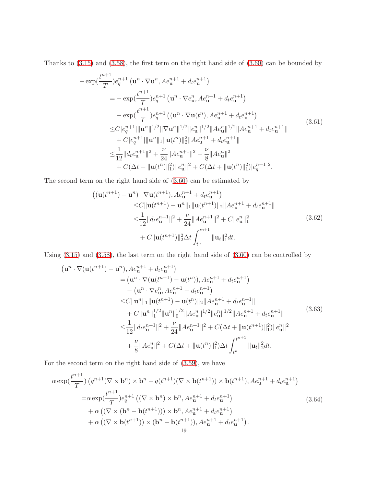Thanks to [\(3.15\)](#page-8-2) and [\(3.58\)](#page-17-1), the first term on the right hand side of [\(3.60\)](#page-17-2) can be bounded by

$$
-\exp(\frac{t^{n+1}}{T})e_q^{n+1} (\mathbf{u}^n \cdot \nabla \mathbf{u}^n, Ae_{\mathbf{u}}^{n+1} + d_t e_{\mathbf{u}}^{n+1})
$$
  
\n
$$
= -\exp(\frac{t^{n+1}}{T})e_q^{n+1} (\mathbf{u}^n \cdot \nabla e_{\mathbf{u}}^n, Ae_{\mathbf{u}}^{n+1} + d_t e_{\mathbf{u}}^{n+1})
$$
  
\n
$$
-\exp(\frac{t^{n+1}}{T})e_q^{n+1} ((\mathbf{u}^n \cdot \nabla \mathbf{u}(t^n), Ae_{\mathbf{u}}^{n+1} + d_t e_{\mathbf{u}}^{n+1})
$$
  
\n
$$
\leq C|e_q^{n+1}|\|\mathbf{u}^n\|^{1/2} \|\nabla \mathbf{u}^n\|^{1/2} \|e_{\mathbf{u}}^n\|^{1/2} \|Ae_{\mathbf{u}}^{n}\|^{1/2} \|Ae_{\mathbf{u}}^{n+1} + d_t e_{\mathbf{u}}^{n+1} \|
$$
  
\n
$$
+ C|e_q^{n+1}| \|\mathbf{u}^n\|_1 \|\mathbf{u}(t^n)\|_2^2 \|Ae_{\mathbf{u}}^{n+1} + d_t e_{\mathbf{u}}^{n+1} \|
$$
  
\n
$$
\leq \frac{1}{12} \|d_t e_{\mathbf{u}}^{n+1}\|^2 + \frac{\nu}{24} \|Ae_{\mathbf{u}}^{n+1}\|^2 + \frac{\nu}{8} \|Ae_{\mathbf{u}}^{n}\|^2
$$
  
\n
$$
+ C(\Delta t + \|\mathbf{u}(t^n)\|_1^2) \|e_{\mathbf{u}}^{n}\|^2 + C(\Delta t + \|\mathbf{u}(t^n)\|_1^2) |e_q^{n+1}|^2.
$$
\n(3.61)

The second term on the right hand side of [\(3.60\)](#page-17-2) can be estimated by

$$
\begin{split}\n\left( (\mathbf{u}(t^{n+1}) - \mathbf{u}^n) \cdot \nabla \mathbf{u}(t^{n+1}), Ae_{\mathbf{u}}^{n+1} + d_t e_{\mathbf{u}}^{n+1} \right) \\
&\leq & C \|\mathbf{u}(t^{n+1}) - \mathbf{u}^n\|_1 \|\mathbf{u}(t^{n+1})\|_2 \|A e_{\mathbf{u}}^{n+1} + d_t e_{\mathbf{u}}^{n+1}\| \\
&\leq & \frac{1}{12} \|d_t e_{\mathbf{u}}^{n+1}\|^2 + \frac{\nu}{24} \|A e_{\mathbf{u}}^{n+1}\|^2 + C \|e_{\mathbf{u}}^n\|_1^2 \\
&\quad + C \|\mathbf{u}(t^{n+1})\|_2^2 \Delta t \int_{t^n}^{t^{n+1}} \|\mathbf{u}_t\|_1^2 dt.\n\end{split} \tag{3.62}
$$

Using [\(3.15\)](#page-8-2) and [\(3.58\)](#page-17-1), the last term on the right hand side of [\(3.60\)](#page-17-2) can be controlled by

$$
(\mathbf{u}^{n} \cdot \nabla(\mathbf{u}(t^{n+1}) - \mathbf{u}^{n}), Ae_{\mathbf{u}}^{n+1} + d_{t}e_{\mathbf{u}}^{n+1})
$$
\n
$$
= (\mathbf{u}^{n} \cdot \nabla(\mathbf{u}(t^{n+1}) - \mathbf{u}(t^{n})), Ae_{\mathbf{u}}^{n+1} + d_{t}e_{\mathbf{u}}^{n+1})
$$
\n
$$
- (\mathbf{u}^{n} \cdot \nabla e_{\mathbf{u}}^{n}, Ae_{\mathbf{u}}^{n+1} + d_{t}e_{\mathbf{u}}^{n+1})
$$
\n
$$
\leq C \|\mathbf{u}^{n}\|_{1} \|\mathbf{u}(t^{n+1}) - \mathbf{u}(t^{n})\|_{2} \|A e_{\mathbf{u}}^{n+1} + d_{t}e_{\mathbf{u}}^{n+1}\|
$$
\n
$$
+ C \|\mathbf{u}^{n}\|_{1}^{1/2} \|\mathbf{u}^{n}\|_{0}^{1/2} \|A e_{\mathbf{u}}^{n}\|_{1}^{1/2} \|e_{\mathbf{u}}^{n}\|_{1}^{1/2} \|A e_{\mathbf{u}}^{n+1} + d_{t}e_{\mathbf{u}}^{n+1}\|
$$
\n
$$
\leq \frac{1}{12} \|d_{t}e_{\mathbf{u}}^{n+1}\|^{2} + \frac{\nu}{24} \|A e_{\mathbf{u}}^{n+1}\|^{2} + C(\Delta t + \|\mathbf{u}(t^{n+1})\|_{1}^{2}) \|e_{\mathbf{u}}^{n}\|^{2}
$$
\n
$$
+ \frac{\nu}{8} \|A e_{\mathbf{u}}^{n}\|^{2} + C(\Delta t + \|\mathbf{u}(t^{n})\|_{1}^{2}) \Delta t \int_{t^{n}}^{t^{n+1}} \|\mathbf{u}_{t}\|_{2}^{2} dt.
$$
\n(3.63)

For the second term on the right hand side of [\(3.59\)](#page-17-0), we have

<span id="page-18-0"></span>
$$
\alpha \exp(\frac{t^{n+1}}{T}) \left( q^{n+1} (\nabla \times \mathbf{b}^n) \times \mathbf{b}^n - q(t^{n+1}) (\nabla \times \mathbf{b}(t^{n+1})) \times \mathbf{b}(t^{n+1}), A e_{\mathbf{u}}^{n+1} + d_t e_{\mathbf{u}}^{n+1} \right)
$$
  
\n
$$
= \alpha \exp(\frac{t^{n+1}}{T}) e_q^{n+1} \left( (\nabla \times \mathbf{b}^n) \times \mathbf{b}^n, A e_{\mathbf{u}}^{n+1} + d_t e_{\mathbf{u}}^{n+1} \right)
$$
  
\n
$$
+ \alpha \left( (\nabla \times (\mathbf{b}^n - \mathbf{b}(t^{n+1}))) \times \mathbf{b}^n, A e_{\mathbf{u}}^{n+1} + d_t e_{\mathbf{u}}^{n+1} \right)
$$
  
\n
$$
+ \alpha \left( (\nabla \times \mathbf{b}(t^{n+1})) \times (\mathbf{b}^n - \mathbf{b}(t^{n+1})), A e_{\mathbf{u}}^{n+1} + d_t e_{\mathbf{u}}^{n+1} \right).
$$
\n(3.64)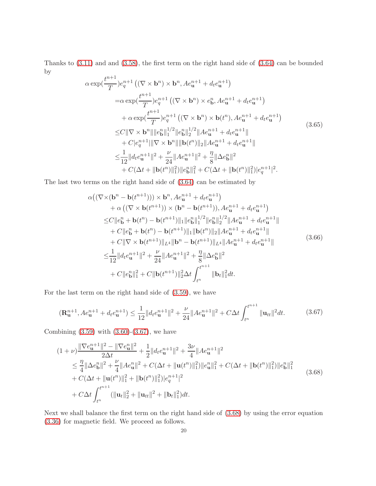Thanks to [\(3.11\)](#page-8-1) and and [\(3.58\)](#page-17-1), the first term on the right hand side of [\(3.64\)](#page-18-0) can be bounded by

$$
\alpha \exp(\frac{t^{n+1}}{T})e_q^{n+1} ((\nabla \times \mathbf{b}^n) \times \mathbf{b}^n, Ae_u^{n+1} + d_t e_u^{n+1})
$$
\n
$$
= \alpha \exp(\frac{t^{n+1}}{T})e_q^{n+1} ((\nabla \times \mathbf{b}^n) \times e_b^n, Ae_u^{n+1} + d_t e_u^{n+1})
$$
\n
$$
+ \alpha \exp(\frac{t^{n+1}}{T})e_q^{n+1} ((\nabla \times \mathbf{b}^n) \times \mathbf{b}(t^n), Ae_u^{n+1} + d_t e_u^{n+1})
$$
\n
$$
\leq C \|\nabla \times \mathbf{b}^n\| \|e_b^n\|_1^{1/2} \|e_b^n\|_2^{1/2} \|Ae_u^{n+1} + d_t e_u^{n+1}\|
$$
\n
$$
+ C|e_q^{n+1}| \|\nabla \times \mathbf{b}^n\| \| \mathbf{b}(t^n) \|_2 \|Ae_u^{n+1} + d_t e_u^{n+1}\|
$$
\n
$$
\leq \frac{1}{12} \|d_t e_u^{n+1} \|^2 + \frac{\nu}{24} \|Ae_u^{n+1} \|^2 + \frac{\eta}{8} \|\Delta e_b^n \|^2
$$
\n
$$
+ C(\Delta t + \|\mathbf{b}(t^n)\|_1^2) \|e_b^n\|_1^2 + C(\Delta t + \|\mathbf{b}(t^n)\|_1^2) |e_q^{n+1}|^2.
$$
\n(3.65)

The last two terms on the right hand side of [\(3.64\)](#page-18-0) can be estimated by

$$
\alpha((\nabla \times (\mathbf{b}^{n} - \mathbf{b}(t^{n+1}))) \times \mathbf{b}^{n}, Ae_{\mathbf{u}}^{n+1} + d_{t}e_{\mathbf{u}}^{n+1})
$$
\n
$$
+ \alpha ((\nabla \times \mathbf{b}(t^{n+1})) \times (\mathbf{b}^{n} - \mathbf{b}(t^{n+1})), Ae_{\mathbf{u}}^{n+1} + d_{t}e_{\mathbf{u}}^{n+1})
$$
\n
$$
\leq C \|e_{\mathbf{b}}^{n} + \mathbf{b}(t^{n}) - \mathbf{b}(t^{n+1})\|_{1} \|e_{\mathbf{b}}^{n}\|_{1}^{1/2} \|e_{\mathbf{b}}^{n}\|_{2}^{1/2} \|Ae_{\mathbf{u}}^{n+1} + d_{t}e_{\mathbf{u}}^{n+1} \|
$$
\n
$$
+ C \|e_{\mathbf{b}}^{n} + \mathbf{b}(t^{n}) - \mathbf{b}(t^{n+1})\|_{1} \| \mathbf{b}(t^{n}) \|_{2} \|Ae_{\mathbf{u}}^{n+1} + d_{t}e_{\mathbf{u}}^{n+1} \|
$$
\n
$$
+ C \| \nabla \times \mathbf{b}(t^{n+1}) \|_{L^{4}} \| \mathbf{b}^{n} - \mathbf{b}(t^{n+1}) \|_{L^{4}} \|Ae_{\mathbf{u}}^{n+1} + d_{t}e_{\mathbf{u}}^{n+1} \|
$$
\n
$$
\leq \frac{1}{12} \|d_{t}e_{\mathbf{u}}^{n+1} \|^{2} + \frac{\nu}{24} \|Ae_{\mathbf{u}}^{n+1} \|^{2} + \frac{\eta}{8} \|\Delta e_{\mathbf{b}}^{n} \|^{2}
$$
\n
$$
+ C \|e_{\mathbf{b}}^{n} \|_{1}^{2} + C \| \mathbf{b}(t^{n+1}) \|_{2}^{2} \Delta t \int_{t^{n}}^{t^{n+1}} \| \mathbf{b}_{t} \|_{1}^{2} dt.
$$
\n(3.66)

For the last term on the right hand side of [\(3.59\)](#page-17-0), we have

<span id="page-19-0"></span>
$$
(\mathbf{R}_{\mathbf{u}}^{n+1}, Ae_{\mathbf{u}}^{n+1} + d_t e_{\mathbf{u}}^{n+1}) \le \frac{1}{12} \| d_t e_{\mathbf{u}}^{n+1} \|^2 + \frac{\nu}{24} \| Ae_{\mathbf{u}}^{n+1} \|^2 + C \Delta t \int_{t^n}^{t^{n+1}} \| \mathbf{u}_{tt} \|^2 dt.
$$
 (3.67)

Combining  $(3.59)$  with  $(3.60)-(3.67)$  $(3.60)-(3.67)$ , we have

<span id="page-19-1"></span>
$$
(1+\nu)\frac{\|\nabla e_{\mathbf{u}}^{n+1}\|^2 - \|\nabla e_{\mathbf{u}}^n\|^2}{2\Delta t} + \frac{1}{2}||d_t e_{\mathbf{u}}^{n+1}||^2 + \frac{3\nu}{4}||Ae_{\mathbf{u}}^{n+1}||^2
$$
  
\n
$$
\leq \frac{\eta}{4}||\Delta e_{\mathbf{b}}^n||^2 + \frac{\nu}{4}||Ae_{\mathbf{u}}^n||^2 + C(\Delta t + ||\mathbf{u}(t^n)||_1^2)||e_{\mathbf{u}}^n||_1^2 + C(\Delta t + ||\mathbf{b}(t^n)||_1^2)||e_{\mathbf{b}}^n||_1^2
$$
  
\n
$$
+ C(\Delta t + ||\mathbf{u}(t^n)||_1^2 + ||\mathbf{b}(t^n)||_1^2)|e_q^{n+1}|^2
$$
  
\n
$$
+ C\Delta t \int_{t^n}^{t^{n+1}} (||\mathbf{u}_t||_2^2 + ||\mathbf{u}_{tt}||^2 + ||\mathbf{b}_t||_1^2)dt.
$$
\n(3.68)

Next we shall balance the first term on the right hand side of [\(3.68\)](#page-19-1) by using the error equation [\(3.36\)](#page-12-0) for magnetic field. We proceed as follows.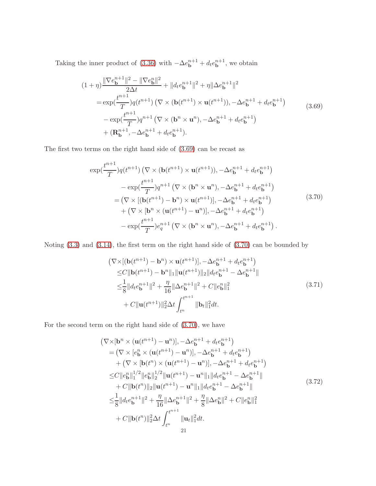Taking the inner product of [\(3.36\)](#page-12-0) with  $-\Delta e_{\mathbf{b}}^{n+1} + d_t e_{\mathbf{b}}^{n+1}$ , we obtain

<span id="page-20-0"></span>
$$
(1+\eta) \frac{\|\nabla e_{\mathbf{b}}^{n+1}\|^2 - \|\nabla e_{\mathbf{b}}^n\|^2}{2\Delta t} + \|d_t e_{\mathbf{b}}^{n+1}\|^2 + \eta \|\Delta e_{\mathbf{b}}^{n+1}\|^2
$$
  
\n
$$
= \exp(\frac{t^{n+1}}{T})q(t^{n+1}) \left(\nabla \times (\mathbf{b}(t^{n+1}) \times \mathbf{u}(t^{n+1})), -\Delta e_{\mathbf{b}}^{n+1} + d_t e_{\mathbf{b}}^{n+1}\right)
$$
  
\n
$$
- \exp(\frac{t^{n+1}}{T})q^{n+1} \left(\nabla \times (\mathbf{b}^n \times \mathbf{u}^n), -\Delta e_{\mathbf{b}}^{n+1} + d_t e_{\mathbf{b}}^{n+1}\right)
$$
  
\n
$$
+ (\mathbf{R}_{\mathbf{b}}^{n+1}, -\Delta e_{\mathbf{b}}^{n+1} + d_t e_{\mathbf{b}}^{n+1}).
$$
\n(3.69)

The first two terms on the right hand side of [\(3.69\)](#page-20-0) can be recast as

<span id="page-20-1"></span>
$$
\exp(\frac{t^{n+1}}{T})q(t^{n+1})\left(\nabla \times (\mathbf{b}(t^{n+1}) \times \mathbf{u}(t^{n+1})), -\Delta e_{\mathbf{b}}^{n+1} + d_t e_{\mathbf{b}}^{n+1}\right) \n- \exp(\frac{t^{n+1}}{T})q^{n+1}\left(\nabla \times (\mathbf{b}^n \times \mathbf{u}^n), -\Delta e_{\mathbf{b}}^{n+1} + d_t e_{\mathbf{b}}^{n+1}\right) \n= \left(\nabla \times [(\mathbf{b}(t^{n+1}) - \mathbf{b}^n) \times \mathbf{u}(t^{n+1})], -\Delta e_{\mathbf{b}}^{n+1} + d_t e_{\mathbf{b}}^{n+1}\right) \n+ \left(\nabla \times [\mathbf{b}^n \times (\mathbf{u}(t^{n+1}) - \mathbf{u}^n)], -\Delta e_{\mathbf{b}}^{n+1} + d_t e_{\mathbf{b}}^{n+1}\right) \n- \exp(\frac{t^{n+1}}{T})e_q^{n+1}\left(\nabla \times (\mathbf{b}^n \times \mathbf{u}^n), -\Delta e_{\mathbf{b}}^{n+1} + d_t e_{\mathbf{b}}^{n+1}\right).
$$
\n(3.70)

Noting [\(3.3\)](#page-7-6) and [\(3.14\)](#page-8-0), the first term on the right hand side of [\(3.70\)](#page-20-1) can be bounded by

$$
\begin{split}\n &\left(\nabla \times \left[ \left(\mathbf{b}(t^{n+1}) - \mathbf{b}^n \right) \times \mathbf{u}(t^{n+1}) \right], -\Delta e_{\mathbf{b}}^{n+1} + d_t e_{\mathbf{b}}^{n+1} \right) \\
 &\leq C \|\mathbf{b}(t^{n+1}) - \mathbf{b}^n\|_1 \|\mathbf{u}(t^{n+1})\|_2 \|d_t e_{\mathbf{b}}^{n+1} - \Delta e_{\mathbf{b}}^{n+1}\| \\
 &\leq \frac{1}{8} \|d_t e_{\mathbf{b}}^{n+1}\|^2 + \frac{\eta}{16} \|\Delta e_{\mathbf{b}}^{n+1}\|^2 + C \|e_{\mathbf{b}}^n\|_1^2 \\
 &\quad + C \|\mathbf{u}(t^{n+1})\|_2^2 \Delta t \int_{t^n}^{t^{n+1}} \|\mathbf{b}_t\|_1^2 dt.\n \end{split} \tag{3.71}
$$

For the second term on the right hand side of [\(3.70\)](#page-20-1), we have

$$
(\nabla \times [\mathbf{b}^{n} \times (\mathbf{u}(t^{n+1}) - \mathbf{u}^{n})], -\Delta e_{\mathbf{b}}^{n+1} + d_{t}e_{\mathbf{b}}^{n+1})
$$
  
\n
$$
= (\nabla \times [e_{\mathbf{b}}^{n} \times (\mathbf{u}(t^{n+1}) - \mathbf{u}^{n})], -\Delta e_{\mathbf{b}}^{n+1} + d_{t}e_{\mathbf{b}}^{n+1})
$$
  
\n
$$
+ (\nabla \times [\mathbf{b}(t^{n}) \times (\mathbf{u}(t^{n+1}) - \mathbf{u}^{n})], -\Delta e_{\mathbf{b}}^{n+1} + d_{t}e_{\mathbf{b}}^{n+1})
$$
  
\n
$$
\leq C ||e_{\mathbf{b}}^{n}||_{1}^{1/2} ||e_{\mathbf{b}}^{n}||_{2}^{1/2} ||\mathbf{u}(t^{n+1}) - \mathbf{u}^{n}||_{1} ||d_{t}e_{\mathbf{b}}^{n+1} - \Delta e_{\mathbf{b}}^{n+1}||
$$
  
\n
$$
+ C ||\mathbf{b}(t^{n})||_{2} ||\mathbf{u}(t^{n+1}) - \mathbf{u}^{n}||_{1} ||d_{t}e_{\mathbf{b}}^{n+1} - \Delta e_{\mathbf{b}}^{n+1}||
$$
  
\n
$$
\leq \frac{1}{8} ||d_{t}e_{\mathbf{b}}^{n+1}||^{2} + \frac{\eta}{16} ||\Delta e_{\mathbf{b}}^{n+1}||^{2} + \frac{\eta}{8} ||\Delta e_{\mathbf{b}}^{n}||^{2} + C ||e_{\mathbf{b}}^{n}||_{1}^{2}
$$
  
\n
$$
+ C ||\mathbf{b}(t^{n})||_{2}^{2} \Delta t \int_{t^{n}}^{t^{n+1}} ||\mathbf{u}_{t}||_{1}^{2} dt.
$$
  
\n21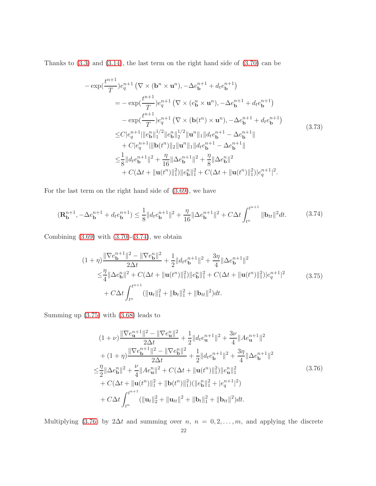Thanks to [\(3.3\)](#page-7-6) and [\(3.14\)](#page-8-0), the last term on the right hand side of [\(3.70\)](#page-20-1) can be

$$
-\exp(\frac{t^{n+1}}{T})e_q^{n+1} \left(\nabla \times (\mathbf{b}^n \times \mathbf{u}^n), -\Delta e_{\mathbf{b}}^{n+1} + d_t e_{\mathbf{b}}^{n+1}\right)
$$
  
\n
$$
= -\exp(\frac{t^{n+1}}{T})e_q^{n+1} \left(\nabla \times (e_{\mathbf{b}}^n \times \mathbf{u}^n), -\Delta e_{\mathbf{b}}^{n+1} + d_t e_{\mathbf{b}}^{n+1}\right)
$$
  
\n
$$
-\exp(\frac{t^{n+1}}{T})e_q^{n+1} \left(\nabla \times (\mathbf{b}(t^n) \times \mathbf{u}^n), -\Delta e_{\mathbf{b}}^{n+1} + d_t e_{\mathbf{b}}^{n+1}\right)
$$
  
\n
$$
\leq C|e_q^{n+1}||e_{\mathbf{b}}^n||_1^{1/2}||e_{\mathbf{b}}^n||_2^{1/2}||\mathbf{u}^n||_1||d_t e_{\mathbf{b}}^{n+1} - \Delta e_{\mathbf{b}}^{n+1}||_1
$$
  
\n
$$
+ C|e_q^{n+1}|||\mathbf{b}(t^n)||_2||\mathbf{u}^n||_1||d_t e_{\mathbf{b}}^{n+1} - \Delta e_{\mathbf{b}}^{n+1}||_1
$$
  
\n
$$
\leq \frac{1}{8}||d_t e_{\mathbf{b}}^{n+1}||^2 + \frac{\eta}{16}||\Delta e_{\mathbf{b}}^{n+1}||^2 + \frac{\eta}{8}||\Delta e_{\mathbf{b}}^{n}||^2
$$
  
\n
$$
+ C(\Delta t + ||\mathbf{u}(t^n)||_1^2)||e_{\mathbf{b}}^{n}||_1^2 + C(\Delta t + ||\mathbf{u}(t^n)||_1^2)|e_q^{n+1}|^2.
$$
 (3.73)

For the last term on the right hand side of [\(3.69\)](#page-20-0), we have

<span id="page-21-0"></span>
$$
(\mathbf{R}_{\mathbf{b}}^{n+1}, -\Delta e_{\mathbf{b}}^{n+1} + d_t e_{\mathbf{b}}^{n+1}) \le \frac{1}{8} \|d_t e_{\mathbf{b}}^{n+1}\|^2 + \frac{\eta}{16} \|\Delta e_{\mathbf{b}}^{n+1}\|^2 + C\Delta t \int_{t^n}^{t^{n+1}} \|\mathbf{b}_{tt}\|^2 dt. \tag{3.74}
$$

Combining  $(3.69)$  with  $(3.70)-(3.74)$  $(3.70)-(3.74)$ , we obtain

<span id="page-21-1"></span>
$$
(1+\eta)\frac{\|\nabla e_{\mathbf{b}}^{n+1}\|^2 - \|\nabla e_{\mathbf{b}}^n\|^2}{2\Delta t} + \frac{1}{2}||d_t e_{\mathbf{b}}^{n+1}||^2 + \frac{3\eta}{4}||\Delta e_{\mathbf{b}}^{n+1}||^2
$$
  

$$
\leq \frac{\eta}{4}||\Delta e_{\mathbf{b}}^n||^2 + C(\Delta t + ||\mathbf{u}(t^n)||_1^2)||e_{\mathbf{b}}^n||_1^2 + C(\Delta t + ||\mathbf{u}(t^n)||_1^2)|e_q^{n+1}|^2
$$
  

$$
+ C\Delta t \int_{t^n}^{t^{n+1}} (||\mathbf{u}_t||_1^2 + ||\mathbf{b}_t||_1^2 + ||\mathbf{b}_{tt}||^2)dt.
$$
 (3.75)

Summing up [\(3.75\)](#page-21-1) with [\(3.68\)](#page-19-1) leads to

<span id="page-21-2"></span>
$$
(1+\nu)\frac{\|\nabla e_{\mathbf{u}}^{n+1}\|^2 - \|\nabla e_{\mathbf{u}}^{n}\|^2}{2\Delta t} + \frac{1}{2}||d_t e_{\mathbf{u}}^{n+1}||^2 + \frac{3\nu}{4}||Ae_{\mathbf{u}}^{n+1}||^2 + (1+\eta)\frac{\|\nabla e_{\mathbf{b}}^{n+1}\|^2 - \|\nabla e_{\mathbf{b}}^{n}\|^2}{2\Delta t} + \frac{1}{2}||d_t e_{\mathbf{b}}^{n+1}||^2 + \frac{3\eta}{4}||\Delta e_{\mathbf{b}}^{n+1}||^2 \n\leq \frac{\eta}{2}||\Delta e_{\mathbf{b}}^{n}||^2 + \frac{\nu}{4}||Ae_{\mathbf{u}}^{n}||^2 + C(\Delta t + ||\mathbf{u}(t^n)||_1^2)||e_{\mathbf{u}}^{n}||_1^2 + C(\Delta t + ||\mathbf{u}(t^n)||_1^2 + ||\mathbf{b}(t^n)||_1^2)(||e_{\mathbf{b}}^{n}||_1^2 + |e_{\mathbf{q}}^{n+1}|^2) + C\Delta t \int_{t^n}^{t^{n+1}} (||\mathbf{u}_t||_2^2 + ||\mathbf{u}_{tt}||^2 + ||\mathbf{b}_t||_1^2 + ||\mathbf{b}_{tt}||^2) dt.
$$
\n(3.76)

Multiplying [\(3.76\)](#page-21-2) by 2∆t and summing over n,  $n = 0, 2, ..., m$ , and applying the discrete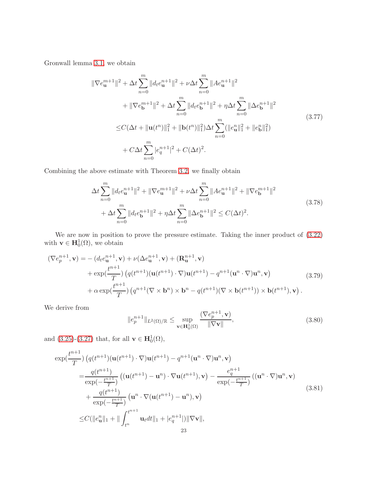Gronwall lemma [3.1,](#page-8-3) we obtain

$$
\|\nabla e_{\mathbf{u}}^{m+1}\|^2 + \Delta t \sum_{n=0}^{m} \|d_t e_{\mathbf{u}}^{n+1}\|^2 + \nu \Delta t \sum_{n=0}^{m} \|A e_{\mathbf{u}}^{n+1}\|^2 \n+ \|\nabla e_{\mathbf{b}}^{m+1}\|^2 + \Delta t \sum_{n=0}^{m} \|d_t e_{\mathbf{b}}^{n+1}\|^2 + \eta \Delta t \sum_{n=0}^{m} \|\Delta e_{\mathbf{b}}^{n+1}\|^2 \n\leq C(\Delta t + \|\mathbf{u}(t^n)\|_1^2 + \|\mathbf{b}(t^n)\|_1^2) \Delta t \sum_{n=0}^{m} (\|e_{\mathbf{u}}^n\|_1^2 + \|e_{\mathbf{b}}^n\|_1^2) \n+ C\Delta t \sum_{n=0}^{m} |e_q^{n+1}|^2 + C(\Delta t)^2.
$$
\n(3.77)

Combining the above estimate with Theorem [3.2,](#page-9-0) we finally obtain

<span id="page-22-1"></span>
$$
\Delta t \sum_{n=0}^{m} \|d_t e_{\mathbf{u}}^{n+1}\|^2 + \|\nabla e_{\mathbf{u}}^{m+1}\|^2 + \nu \Delta t \sum_{n=0}^{m} \|A e_{\mathbf{u}}^{n+1}\|^2 + \|\nabla e_{\mathbf{b}}^{m+1}\|^2
$$
  
+ 
$$
\Delta t \sum_{n=0}^{m} \|d_t e_{\mathbf{b}}^{n+1}\|^2 + \eta \Delta t \sum_{n=0}^{m} \|\Delta e_{\mathbf{b}}^{n+1}\|^2 \le C(\Delta t)^2.
$$
 (3.78)

We are now in position to prove the pressure estimate. Taking the inner product of [\(3.22\)](#page-10-0) with  $\mathbf{v} \in \mathbf{H}_0^1(\Omega)$ , we obtain

<span id="page-22-0"></span>
$$
(\nabla e_p^{n+1}, \mathbf{v}) = -(d_t e_u^{n+1}, \mathbf{v}) + \nu (\Delta e_u^{n+1}, \mathbf{v}) + (\mathbf{R}_u^{n+1}, \mathbf{v}) + \exp(\frac{t^{n+1}}{T}) \left( q(t^{n+1}) (\mathbf{u}(t^{n+1}) \cdot \nabla) \mathbf{u}(t^{n+1}) - q^{n+1} (\mathbf{u}^n \cdot \nabla) \mathbf{u}^n, \mathbf{v} \right) + \alpha \exp(\frac{t^{n+1}}{T}) \left( q^{n+1} (\nabla \times \mathbf{b}^n) \times \mathbf{b}^n - q(t^{n+1}) (\nabla \times \mathbf{b}(t^{n+1})) \times \mathbf{b}(t^{n+1}), \mathbf{v} \right).
$$
\n(3.79)

We derive from

$$
||e_p^{n+1}||_{L^2(\Omega)/\mathbb{R}} \le \sup_{\mathbf{v}\in\mathbf{H}_0^1(\Omega)} \frac{(\nabla e_p^{n+1}, \mathbf{v})}{\|\nabla \mathbf{v}\|},\tag{3.80}
$$

and  $(3.25)-(3.27)$  $(3.25)-(3.27)$  that, for all  $\mathbf{v} \in \mathbf{H}_0^1(\Omega)$ ,

$$
\exp(\frac{t^{n+1}}{T}) (q(t^{n+1})(\mathbf{u}(t^{n+1}) \cdot \nabla) \mathbf{u}(t^{n+1}) - q^{n+1}(\mathbf{u}^n \cdot \nabla) \mathbf{u}^n, \mathbf{v})
$$
\n
$$
= \frac{q(t^{n+1})}{\exp(-\frac{t^{n+1}}{T})} ((\mathbf{u}(t^{n+1}) - \mathbf{u}^n) \cdot \nabla \mathbf{u}(t^{n+1}), \mathbf{v}) - \frac{e_q^{n+1}}{\exp(-\frac{t^{n+1}}{T})} ((\mathbf{u}^n \cdot \nabla) \mathbf{u}^n, \mathbf{v})
$$
\n
$$
+ \frac{q(t^{n+1})}{\exp(-\frac{t^{n+1}}{T})} (\mathbf{u}^n \cdot \nabla (\mathbf{u}(t^{n+1}) - \mathbf{u}^n), \mathbf{v})
$$
\n
$$
\leq C(||e_u^n||_1 + ||\int_{t^n}^{t^{n+1}} \mathbf{u}_t dt||_1 + |e_q^{n+1}|) ||\nabla \mathbf{v}||,
$$
\n
$$
23
$$
\n(3.81)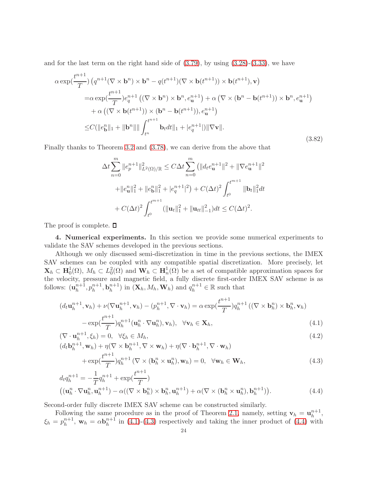and for the last term on the right hand side of  $(3.79)$ , by using  $(3.28)-(3.33)$  $(3.28)-(3.33)$  $(3.28)-(3.33)$ , we have

$$
\alpha \exp(\frac{t^{n+1}}{T}) \left( q^{n+1} (\nabla \times \mathbf{b}^n) \times \mathbf{b}^n - q(t^{n+1}) (\nabla \times \mathbf{b}(t^{n+1})) \times \mathbf{b}(t^{n+1}), \mathbf{v} \right)
$$
  
\n
$$
= \alpha \exp(\frac{t^{n+1}}{T}) e_q^{n+1} \left( (\nabla \times \mathbf{b}^n) \times \mathbf{b}^n, e_u^{n+1} \right) + \alpha \left( \nabla \times (\mathbf{b}^n - \mathbf{b}(t^{n+1})) \times \mathbf{b}^n, e_u^{n+1} \right)
$$
  
\n
$$
+ \alpha \left( (\nabla \times \mathbf{b}(t^{n+1})) \times (\mathbf{b}^n - \mathbf{b}(t^{n+1})), e_u^{n+1} \right)
$$
  
\n
$$
\leq C(||e_b^n||_1 + ||\mathbf{b}^n|| \, || \int_{t^n}^{t^{n+1}} \mathbf{b}_t dt ||_1 + |e_q^{n+1}| ||\nabla \mathbf{v}||. \tag{3.82}
$$

Finally thanks to Theorem [3.2](#page-9-0) and [\(3.78\)](#page-22-1), we can derive from the above that

$$
\Delta t \sum_{n=0}^{m} \|e_p^{n+1}\|_{L^2(\Omega)/\mathbb{R}}^2 \le C \Delta t \sum_{n=0}^{m} (||d_t e_{\mathbf{u}}^{n+1}||^2 + ||\nabla e_{\mathbf{u}}^{n+1}||^2
$$
  
+  $||e_{\mathbf{u}}^n||_1^2 + ||e_b^n||_1^2 + |e_q^{n+1}|^2) + C(\Delta t)^2 \int_{t^0}^{t^{m+1}} ||\mathbf{b}_t||_1^2 dt$   
+  $C(\Delta t)^2 \int_{t^0}^{t^{m+1}} (||\mathbf{u}_t||_1^2 + ||\mathbf{u}_t||_{-1}^2) dt \le C(\Delta t)^2.$ 

The proof is complete.  $\square$ 

4. Numerical experiments. In this section we provide some numerical experiments to validate the SAV schemes developed in the previous sections.

Although we only discussed semi-discretization in time in the previous sections, the IMEX SAV schemes can be coupled with any compatible spatial discretization. More precisely, let  $\mathbf{X}_h \subset \mathbf{H}_0^1(\Omega)$ ,  $M_h \subset L_0^2(\Omega)$  and  $\mathbf{W}_h \subset \mathbf{H}_n^1(\Omega)$  be a set of compatible approximation spaces for the velocity, pressure and magnetic field, a fully discrete first-order IMEX SAV scheme is as follows:  $(\mathbf{u}_h^{n+1})$  $h^{n+1}, p_h^{n+1}, \mathbf{b}_h^{n+1}$  $\binom{n+1}{h}$  in  $(\mathbf{X}_h, M_h, \mathbf{W}_h)$  and  $q_h^{n+1} \in \mathbb{R}$  such that

<span id="page-23-0"></span>
$$
(d_t \mathbf{u}_h^{n+1}, \mathbf{v}_h) + \nu (\nabla \mathbf{u}_h^{n+1}, \mathbf{v}_h) - (p_h^{n+1}, \nabla \cdot \mathbf{v}_h) = \alpha \exp(\frac{t^{n+1}}{T}) q_h^{n+1} \left( (\nabla \times \mathbf{b}_h^n) \times \mathbf{b}_h^n, \mathbf{v}_h \right)
$$

$$
- \exp(\frac{t^{n+1}}{T}) q_h^{n+1} (\mathbf{u}_h^n \cdot \nabla \mathbf{u}_h^n), \mathbf{v}_h), \quad \forall \mathbf{v}_h \in \mathbf{X}_h,
$$
(4.1)

$$
(\nabla \cdot \mathbf{u}_h^{n+1}, \xi_h) = 0, \quad \forall \xi_h \in M_h,
$$
\n(4.2)

$$
(d_t \mathbf{b}_h^{n+1}, \mathbf{w}_h) + \eta (\nabla \times \mathbf{b}_h^{n+1}, \nabla \times \mathbf{w}_h) + \eta (\nabla \cdot \mathbf{b}_h^{n+1}, \nabla \cdot \mathbf{w}_h)
$$
  
+ 
$$
\exp(\frac{t^{n+1}}{T}) q_h^{n+1} (\nabla \times (\mathbf{b}_h^n \times \mathbf{u}_h^n), \mathbf{w}_h) = 0, \quad \forall \mathbf{w}_h \in \mathbf{W}_h,
$$
 (4.3)

$$
d_t q_h^{n+1} = -\frac{1}{T} q_h^{n+1} + \exp(\frac{t^{n+1}}{T})
$$
  

$$
((\mathbf{u}_h^n \cdot \nabla \mathbf{u}_h^n, \mathbf{u}_h^{n+1}) - \alpha((\nabla \times \mathbf{b}_h^n) \times \mathbf{b}_h^n, \mathbf{u}_h^{n+1}) + \alpha(\nabla \times (\mathbf{b}_h^n \times \mathbf{u}_h^n), \mathbf{b}_h^{n+1})).
$$
 (4.4)

Second-order fully discrete IMEX SAV scheme can be constructed similarly.

Following the same procedure as in the proof of Theorem [2.1,](#page-4-3) namely, setting  $\mathbf{v}_h = \mathbf{u}_h^{n+1}$  $h^{n+1},$  $\xi_h = p_h^{n+1}$  $h^{n+1}$ ,  $\mathbf{w}_h = \alpha \mathbf{b}_h^{n+1}$  $h^{n+1}$  in [\(4.1\)](#page-23-0)-[\(4.3\)](#page-23-0) respectively and taking the inner product of [\(4.4\)](#page-23-0) with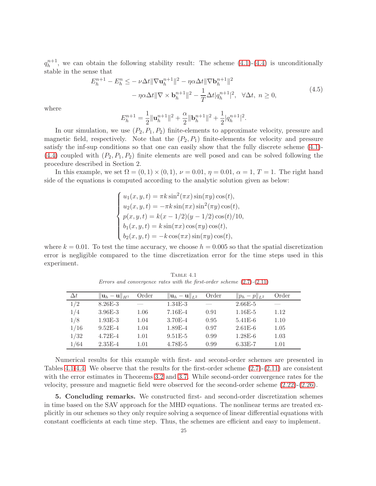$q_h^{n+1}$  $h^{n+1}$ , we can obtain the following stability result: The scheme  $(4.1)-(4.4)$  $(4.1)-(4.4)$  is unconditionally stable in the sense that

$$
E_h^{n+1} - E_h^n \le -\nu \Delta t \|\nabla \mathbf{u}_h^{n+1}\|^2 - \eta \alpha \Delta t \|\nabla \mathbf{b}_h^{n+1}\|^2 - \eta \alpha \Delta t \|\nabla \times \mathbf{b}_h^{n+1}\|^2 - \frac{1}{T} \Delta t |q_h^{n+1}|^2, \quad \forall \Delta t, \ n \ge 0,
$$
\n(4.5)

where

$$
E_h^{n+1} = \frac{1}{2} ||\mathbf{u}_h^{n+1}||^2 + \frac{\alpha}{2} ||\mathbf{b}_h^{n+1}||^2 + \frac{1}{2} |q_h^{n+1}|^2.
$$

In our simulation, we use  $(P_2, P_1, P_2)$  finite-elements to approximate velocity, pressure and magnetic field, respectively. Note that the  $(P_2, P_1)$  finite-elements for velocity and pressure satisfy the inf-sup conditions so that one can easily show that the fully discrete scheme [\(4.1\)](#page-23-0)-  $(4.4)$  coupled with  $(P_2, P_1, P_2)$  finite elements are well posed and can be solved following the procedure described in Section 2.

In this example, we set  $\Omega = (0,1) \times (0,1)$ ,  $\nu = 0.01$ ,  $\eta = 0.01$ ,  $\alpha = 1$ ,  $T = 1$ . The right hand side of the equations is computed according to the analytic solution given as below:

$$
\begin{cases}\nu_1(x, y, t) = \pi k \sin^2(\pi x) \sin(\pi y) \cos(t), \\
u_2(x, y, t) = -\pi k \sin(\pi x) \sin^2(\pi y) \cos(t), \\
p(x, y, t) = k(x - 1/2)(y - 1/2) \cos(t)/10, \\
b_1(x, y, t) = k \sin(\pi x) \cos(\pi y) \cos(t), \\
b_2(x, y, t) = -k \cos(\pi x) \sin(\pi y) \cos(t),\n\end{cases}
$$

where  $k = 0.01$ . To test the time accuracy, we choose  $h = 0.005$  so that the spatial discretization error is negligible compared to the time discretization error for the time steps used in this experiment.

| $\Delta t$ | $\ \mathbf{u}_h-\mathbf{u}\ _{H^1}$ | Order | $  \mathbf{u}_h - \mathbf{u}  _{L^2}$ | Order | $  p_h - p  _{L^2}$ | Order    |
|------------|-------------------------------------|-------|---------------------------------------|-------|---------------------|----------|
| 1/2        | $8.26E - 3$                         |       | $1.34E-3$                             |       | $2.66E - 5$         |          |
| 1/4        | $3.96E - 3$                         | 1.06  | $7.16E-4$                             | 0.91  | $1.16E-5$           | 1.12     |
| 1/8        | $1.93E-3$                           | 1.04  | $3.70E-4$                             | 0.95  | $5.41E-6$           | 1.10     |
| 1/16       | $9.52E - 4$                         | 1.04  | $1.89E - 4$                           | 0.97  | $2.61E-6$           | 1.05     |
| 1/32       | $4.72E - 4$                         | 1.01  | $9.51E-5$                             | 0.99  | $1.28E-6$           | 1.03     |
| 1/64       | $2.35E - 4$                         | 1.01  | 4.78E-5                               | 0.99  | $6.33E-7$           | $1.01\,$ |

<span id="page-24-0"></span>Table 4.1 Errors and convergence rates with the first-order scheme  $(2.7)$ - $(2.11)$ 

Numerical results for this example with first- and second-order schemes are presented in Tables [4.1-](#page-24-0)[4.4.](#page-26-20) We observe that the results for the first-order scheme [\(2.7\)](#page-3-1)-[\(2.11\)](#page-3-1) are consistent with the error estimates in Theorems [3.2](#page-9-0) and [3.7.](#page-17-3) While second-order convergence rates for the velocity, pressure and magnetic field were observed for the second-order scheme [\(2.22\)](#page-4-1)-[\(2.26\)](#page-4-1).

5. Concluding remarks. We constructed first- and second-order discretization schemes in time based on the SAV approach for the MHD equations. The nonlinear terms are treated explicitly in our schemes so they only require solving a sequence of linear differential equations with constant coefficients at each time step. Thus, the schemes are efficient and easy to implement.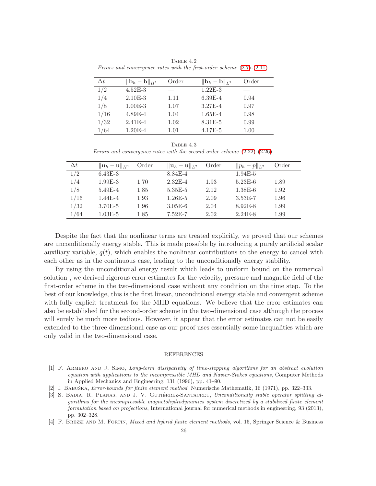| $\Delta t$ | $\ \mathbf{b}_h-\mathbf{b}\ _{H^1}$ | Order    | $\ \mathbf{b}_h-\mathbf{b}\ _{L^2}$ | Order |
|------------|-------------------------------------|----------|-------------------------------------|-------|
| 1/2        | $4.52E - 3$                         | ___      | $1.22E-3$                           |       |
| 1/4        | $2.10E-3$                           | 1.11     | $6.39E-4$                           | 0.94  |
| 1/8        | $1.00E-3$                           | 1.07     | $3.27E - 4$                         | 0.97  |
| 1/16       | 4.89E-4                             | 1.04     | $1.65E-4$                           | 0.98  |
| 1/32       | $2.41E - 4$                         | 1.02     | $8.31E-5$                           | 0.99  |
| 1/64       | $1.20E-4$                           | $1.01\,$ | $4.17E-5$                           | 1.00  |

TABLE  $4.2$ Errors and convergence rates with the first-order scheme [\(2.7\)](#page-3-1)-[\(2.11\)](#page-3-1)

TABLE  $4.3$ Errors and convergence rates with the second-order scheme  $(2.22)$ - $(2.26)$ 

| $\Delta t$ | $\ \mathbf{u}_h-\mathbf{u}\ _{H^1}$ | Order | $  \mathbf{u}_h - \mathbf{u}  _{L^2}$ | Order | $  p_h - p  _{L^2}$ | Order |
|------------|-------------------------------------|-------|---------------------------------------|-------|---------------------|-------|
| 1/2        | $6.43E - 3$                         |       | 8.84E-4                               |       | $1.94E-5$           |       |
| 1/4        | $1.99E-3$                           | 1.70  | $2.32E - 4$                           | 1.93  | $5.23E-6$           | 1.89  |
| 1/8        | $5.49E-4$                           | 1.85  | $5.35E-5$                             | 2.12  | $1.38E-6$           | 1.92  |
| 1/16       | $1.44E - 4$                         | 1.93  | $1.26E - 5$                           | 2.09  | $3.53E - 7$         | 1.96  |
| 1/32       | $3.70E - 5$                         | 1.96  | $3.05E-6$                             | 2.04  | $8.92E - 8$         | 1.99  |
| 1/64       | $1.03E-5$                           | 1.85  | $7.52E - 7$                           | 2.02  | $2.24E-8$           | 1.99  |

Despite the fact that the nonlinear terms are treated explicitly, we proved that our schemes are unconditionally energy stable. This is made possible by introducing a purely artificial scalar auxiliary variable,  $q(t)$ , which enables the nonlinear contributions to the energy to cancel with each other as in the continuous case, leading to the unconditionally energy stability.

By using the unconditional energy result which leads to uniform bound on the numerical solution , we derived rigorous error estimates for the velocity, pressure and magnetic field of the first-order scheme in the two-dimensional case without any condition on the time step. To the best of our knowledge, this is the first linear, unconditional energy stable and convergent scheme with fully explicit treatment for the MHD equations. We believe that the error estimates can also be established for the second-order scheme in the two-dimensional case although the process will surely be much more tedious. However, it appear that the error estimates can not be easily extended to the three dimensional case as our proof uses essentially some inequalities which are only valid in the two-dimensional case.

## REFERENCES

- <span id="page-25-2"></span>[1] F. Armero and J. Simo, Long-term dissipativity of time-stepping algorithms for an abstract evolution equation with applications to the incompressible MHD and Navier-Stokes equations, Computer Methods in Applied Mechanics and Engineering, 131 (1996), pp. 41–90.
- <span id="page-25-3"></span><span id="page-25-0"></span>[2] I. BABUŠKA, *Error-bounds for finite element method*, Numerische Mathematik, 16 (1971), pp. 322–333.
- [3] S. BADIA, R. PLANAS, AND J. V. GUTIÉRREZ-SANTACREU, Unconditionally stable operator splitting algorithms for the incompressible magnetohydrodynamics system discretized by a stabilized finite element formulation based on projections, International journal for numerical methods in engineering, 93 (2013), pp. 302–328.
- <span id="page-25-1"></span>[4] F. BREZZI AND M. FORTIN, *Mixed and hybrid finite element methods*, vol. 15, Springer Science & Business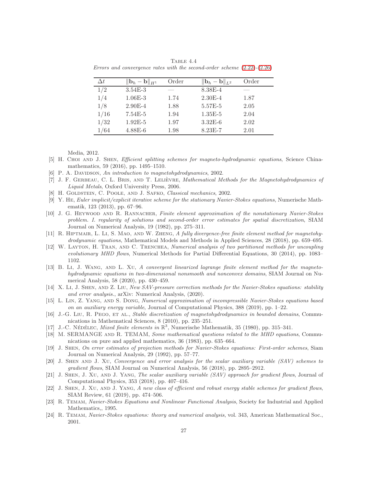<span id="page-26-20"></span>

| $\Delta t$ | $\ \mathbf{b}_h-\mathbf{b}\ _{H^1}$ | Order | $\ \mathbf{b}_h-\mathbf{b}\ _{L^2}$ | Order |
|------------|-------------------------------------|-------|-------------------------------------|-------|
| 1/2        | $3.54E - 3$                         | ___   | $8.38E - 4$                         |       |
| 1/4        | $1.06E - 3$                         | 1.74  | $2.30E-4$                           | 1.87  |
| 1/8        | $2.90E-4$                           | 1.88  | 5.57E-5                             | 2.05  |
| 1/16       | $7.54E-5$                           | 1.94  | $1.35E-5$                           | 2.04  |
| 1/32       | $1.92E-5$                           | 1.97  | $3.32E-6$                           | 2.02  |
| 1/64       | $4.88E-6$                           | 1.98  | $8.23E - 7$                         | 2.01  |

TABLE  $4.4$ Errors and convergence rates with the second-order scheme [\(2.22\)](#page-4-1)-[\(2.26\)](#page-4-1)

Media, 2012.

- <span id="page-26-8"></span>[5] H. Choi and J. Shen, Efficient splitting schemes for magneto-hydrodynamic equations, Science Chinamathematics, 59 (2016), pp. 1495–1510.
- <span id="page-26-4"></span><span id="page-26-2"></span>[6] P. A. DAVIDSON, An introduction to magnetohydrodynamics, 2002.
- [7] J. F. GERBEAU, C. L. BRIS, AND T. LELIÈVRE, Mathematical Methods for the Magnetohydrodynamics of Liquid Metals, Oxford University Press, 2006.
- <span id="page-26-19"></span><span id="page-26-1"></span>[8] H. GOLDSTEIN, C. POOLE, AND J. SAFKO, Classical mechanics, 2002.
- [9] Y. He, Euler implicit/explicit iterative scheme for the stationary Navier-Stokes equations, Numerische Mathematik, 123 (2013), pp. 67–96.
- <span id="page-26-16"></span>[10] J. G. HEYWOOD AND R. RANNACHER, Finite element approximation of the nonstationary Navier-Stokes problem. I. regularity of solutions and second-order error estimates for spatial discretization, SIAM Journal on Numerical Analysis, 19 (1982), pp. 275–311.
- <span id="page-26-6"></span>[11] R. HIPTMAIR, L. LI, S. MAO, AND W. ZHENG, A fully divergence-free finite element method for magnetohydrodynamic equations, Mathematical Models and Methods in Applied Sciences, 28 (2018), pp. 659–695.
- <span id="page-26-5"></span>[12] W. Layton, H. Tran, and C. Trenchea, Numerical analysis of two partitioned methods for uncoupling evolutionary MHD flows, Numerical Methods for Partial Differential Equations, 30 (2014), pp. 1083– 1102.
- <span id="page-26-7"></span>[13] B. Li, J. WANG, AND L. XU, A convergent linearized lagrange finite element method for the magnetohydrodynamic equations in two-dimensional nonsmooth and nonconvex domains, SIAM Journal on Numerical Analysis, 58 (2020), pp. 430–459.
- <span id="page-26-14"></span>[14] X. Li, J. SHEN, AND Z. LIU, New SAV-pressure correction methods for the Navier-Stokes equations: stability and error analysis., arXiv: Numerical Analysis, (2020).
- <span id="page-26-13"></span>[15] L. Lin, Z. Yang, and S. Dong, Numerical approximation of incompressible Navier-Stokes equations based on an auxiliary energy variable, Journal of Computational Physics, 388 (2019), pp. 1–22.
- <span id="page-26-9"></span>[16] J.-G. Liu, R. PEGO, ET AL., Stable discretization of magnetohydrodynamics in bounded domains, Communications in Mathematical Sciences, 8 (2010), pp. 235–251.
- <span id="page-26-3"></span><span id="page-26-0"></span>[17] J.-C. NÉDÉLEC, Mixed finite elements in  $\mathbb{R}^3$ , Numerische Mathematik, 35 (1980), pp. 315–341.
- [18] M. SERMANGE AND R. TEMAM, Some mathematical questions related to the MHD equations, Communications on pure and applied mathematics, 36 (1983), pp. 635–664.
- <span id="page-26-18"></span>[19] J. Shen, On error estimates of projection methods for Navier-Stokes equations: First-order schemes, Siam Journal on Numerical Analysis, 29 (1992), pp. 57–77.
- <span id="page-26-11"></span>[20] J. Shen and J. Xu, Convergence and error analysis for the scalar auxiliary variable (SAV) schemes to gradient flows, SIAM Journal on Numerical Analysis, 56 (2018), pp. 2895–2912.
- <span id="page-26-10"></span>[21] J. Shen, J. Xu, and J. Yang, The scalar auxiliary variable (SAV) approach for gradient flows, Journal of Computational Physics, 353 (2018), pp. 407–416.
- <span id="page-26-12"></span>[22] J. Shen, J. Xu, and J. Yang, A new class of efficient and robust energy stable schemes for gradient flows, SIAM Review, 61 (2019), pp. 474–506.
- <span id="page-26-17"></span>[23] R. Temam, Navier-Stokes Equations and Nonlinear Functional Analysis, Society for Industrial and Applied Mathematics,, 1995.
- <span id="page-26-15"></span>[24] R. Temam, Navier-Stokes equations: theory and numerical analysis, vol. 343, American Mathematical Soc., 2001.